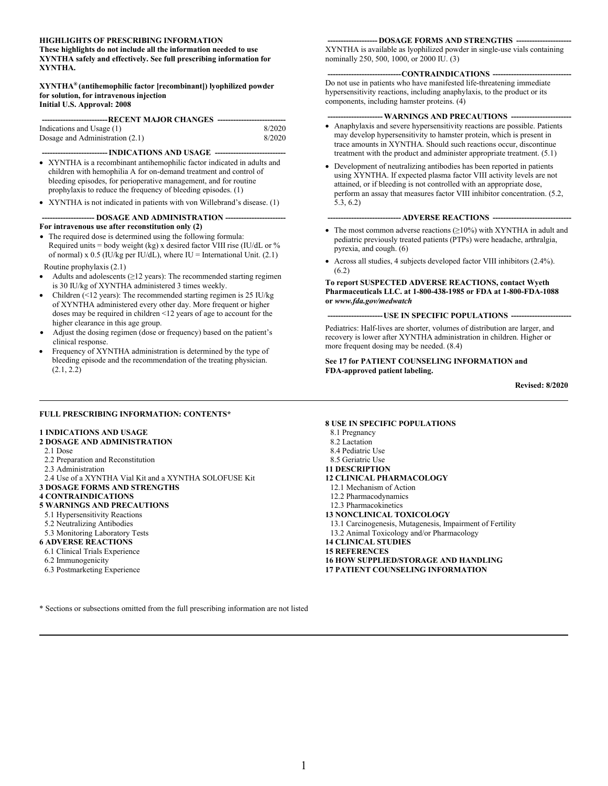#### **HIGHLIGHTS OF PRESCRIBING INFORMATION**

**These highlights do not include all the information needed to use XYNTHA safely and effectively. See full prescribing information for XYNTHA.**

#### **XYNTHA® (antihemophilic factor [recombinant]) lyophilized powder for solution, for intravenous injection Initial U.S. Approval: 2008**

| ----------------------------RECENT                MAJOR CHANGES -------------------------- |        |
|--------------------------------------------------------------------------------------------|--------|
| Indications and Usage (1)                                                                  | 8/2020 |
| Dosage and Administration (2.1)                                                            | 8/2020 |

#### **-------------------------INDICATIONS AND USAGE ---------------------------**

- XYNTHA is a recombinant antihemophilic factor indicated in adults and children with hemophilia A for on-demand treatment and control of bleeding episodes, for perioperative management, and for routine prophylaxis to reduce the frequency of bleeding episodes. (1)
- XYNTHA is not indicated in patients with von Willebrand's disease. (1)

#### **-------------------- DOSAGE AND ADMINISTRATION -----------------------**

**For intravenous use after reconstitution only (2)** • The required dose is determined using the following formula: Required units = body weight (kg) x desired factor VIII rise (IU/dL or % of normal) x 0.5 (IU/kg per IU/dL), where IU = International Unit.  $(2.1)$ 

Routine prophylaxis (2.1)

- Adults and adolescents  $(≥12 \text{ years})$ : The recommended starting regimen is 30 IU/kg of XYNTHA administered 3 times weekly.
- Children (<12 years): The recommended starting regimen is 25 IU/kg of XYNTHA administered every other day. More frequent or higher doses may be required in children <12 years of age to account for the higher clearance in this age group.
- Adjust the dosing regimen (dose or frequency) based on the patient's clinical response.
- Frequency of XYNTHA administration is determined by the type of bleeding episode and the recommendation of the treating physician.  $(2.1, 2.\overline{2})$

#### **------------------- DOSAGE FORMS AND STRENGTHS ---------------------**

XYNTHA is available as lyophilized powder in single-use vials containing nominally 250, 500, 1000, or 2000 IU. (3)

#### ---CONTRAINDICATIONS --

Do not use in patients who have manifested life-threatening immediate hypersensitivity reactions, including anaphylaxis, to the product or its components, including hamster proteins. (4)

#### **---------------------WARNINGS AND PRECAUTIONS -----------------------**

- Anaphylaxis and severe hypersensitivity reactions are possible. Patients may develop hypersensitivity to hamster protein, which is present in trace amounts in XYNTHA. Should such reactions occur, discontinue treatment with the product and administer appropriate treatment. (5.1)
- Development of neutralizing antibodies has been reported in patients using XYNTHA. If expected plasma factor VIII activity levels are not attained, or if bleeding is not controlled with an appropriate dose, perform an assay that measures factor VIII inhibitor concentration. (5.2, 5.3, 6.2)

#### **----------------------------ADVERSE REACTIONS ------------------------------**

- The most common adverse reactions  $(\geq 10\%)$  with XYNTHA in adult and pediatric previously treated patients (PTPs) were headache, arthralgia, pyrexia, and cough. (6)
- Across all studies, 4 subjects developed factor VIII inhibitors (2.4%). (6.2)

#### **To report SUSPECTED ADVERSE REACTIONS, contact Wyeth Pharmaceuticals LLC. at 1-800-438-1985 or FDA at 1-800-FDA-1088 or** *www.fda.gov/medwatch*

**--USE IN SPECIFIC POPULATIONS --**

Pediatrics: Half-lives are shorter, volumes of distribution are larger, and recovery is lower after XYNTHA administration in children. Higher or more frequent dosing may be needed. (8.4)

#### **See 17 for PATIENT COUNSELING INFORMATION and FDA-approved patient labeling.**

**Revised: 8/2020**

#### **FULL PRESCRIBING INFORMATION: CONTENTS\***

#### **1 INDICATIONS AND USAGE**

#### **2 DOSAGE AND ADMINISTRATION**

- 2.1 Dose
- 2.2 Preparation and Reconstitution
- 2.3 Administration
- 2.4 Use of a XYNTHA Vial Kit and a XYNTHA SOLOFUSE Kit
- **3 DOSAGE FORMS AND STRENGTHS**
- **4 CONTRAINDICATIONS**
- **5 WARNINGS AND PRECAUTIONS**
- 5.1 Hypersensitivity Reactions
- 5.2 Neutralizing Antibodies
- 5.3 Monitoring Laboratory Tests
- **6 ADVERSE REACTIONS**
- 6.1 Clinical Trials Experience
- 6.2 Immunogenicity
- 6.3 Postmarketing Experience

#### **8 USE IN SPECIFIC POPULATIONS**

- 8.1 Pregnancy
- 8.2 Lactation
- 8.4 Pediatric Use
- 8.5 Geriatric Use
- **11 DESCRIPTION**
- **12 CLINICAL PHARMACOLOGY**
- 12.1 Mechanism of Action
- 12.2 Pharmacodynamics
- 12.3 Pharmacokinetics
- **13 NONCLINICAL TOXICOLOGY**
- 13.1 Carcinogenesis, Mutagenesis, Impairment of Fertility
- 13.2 Animal Toxicology and/or Pharmacology

**14 CLINICAL STUDIES** 

**15 REFERENCES** 

**16 HOW SUPPLIED/STORAGE AND HANDLING 17 PATIENT COUNSELING INFORMATION** 

\* Sections or subsections omitted from the full prescribing information are not listed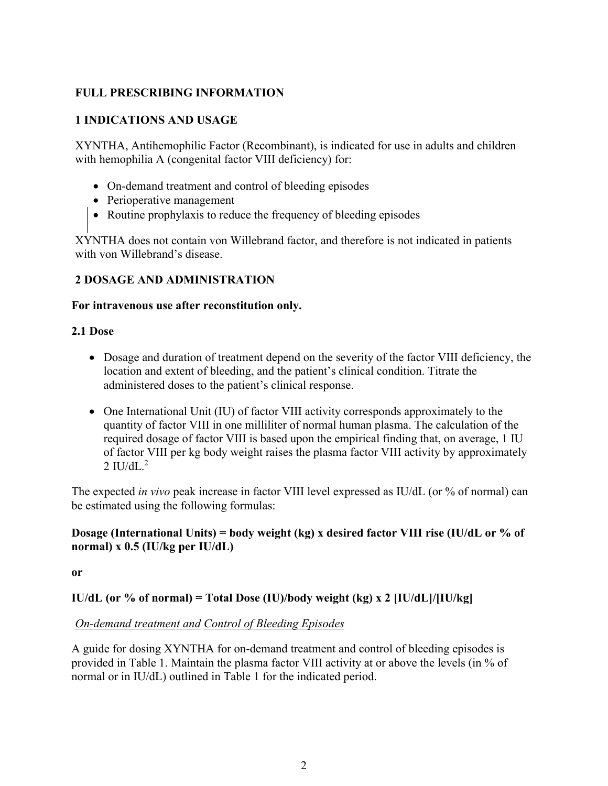## **FULL PRESCRIBING INFORMATION**

## **1 INDICATIONS AND USAGE**

XYNTHA, Antihemophilic Factor (Recombinant), is indicated for use in adults and children with hemophilia A (congenital factor VIII deficiency) for:

- On-demand treatment and control of bleeding episodes
- Perioperative management
- Routine prophylaxis to reduce the frequency of bleeding episodes

XYNTHA does not contain von Willebrand factor, and therefore is not indicated in patients with von Willebrand's disease.

## **2 DOSAGE AND ADMINISTRATION**

#### **For intravenous use after reconstitution only.**

#### **2.1 Dose**

- Dosage and duration of treatment depend on the severity of the factor VIII deficiency, the location and extent of bleeding, and the patient's clinical condition. Titrate the administered doses to the patient's clinical response.
- One International Unit (IU) of factor VIII activity corresponds approximately to the quantity of factor VIII in one milliliter of normal human plasma. The calculation of the required dosage of factor VIII is based upon the empirical finding that, on average, 1 IU of factor VIII per kg body weight raises the plasma factor VIII activity by approximately  $2$  IU/dL. $^2$

The expected *in vivo* peak increase in factor VIII level expressed as IU/dL (or % of normal) can be estimated using the following formulas:

## **Dosage (International Units) = body weight (kg) x desired factor VIII rise (IU/dL or % of normal) x 0.5 (IU/kg per IU/dL)**

**or**

## **IU/dL (or % of normal) = Total Dose (IU)/body weight (kg) x 2 [IU/dL]/[IU/kg]**

## *On-demand treatment and Control of Bleeding Episodes*

A guide for dosing XYNTHA for on-demand treatment and control of bleeding episodes is provided in Table 1. Maintain the plasma factor VIII activity at or above the levels (in % of normal or in IU/dL) outlined in Table 1 for the indicated period.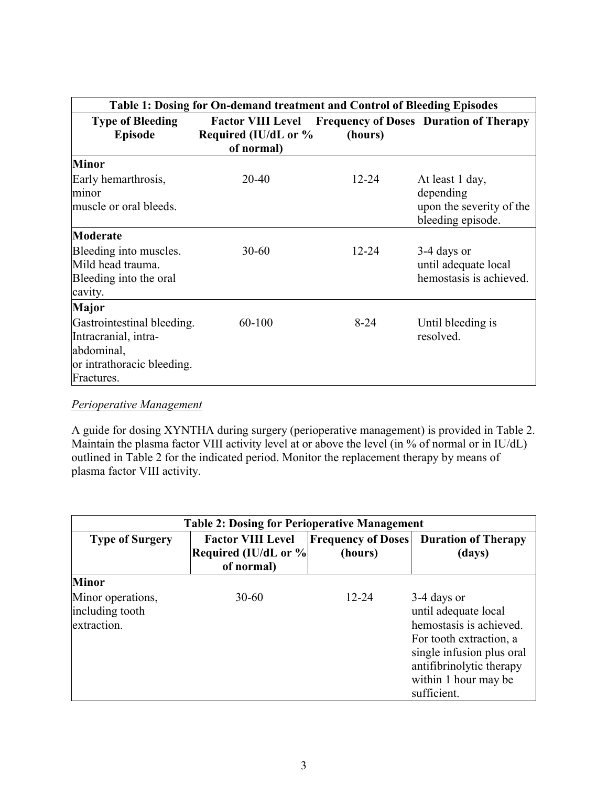|                                                                                                              | Table 1: Dosing for On-demand treatment and Control of Bleeding Episodes |           |                                                                               |  |  |
|--------------------------------------------------------------------------------------------------------------|--------------------------------------------------------------------------|-----------|-------------------------------------------------------------------------------|--|--|
| <b>Type of Bleeding</b><br>Episode                                                                           | Required (IU/dL or %<br>of normal)                                       | (hours)   | <b>Factor VIII Level</b> Frequency of Doses Duration of Therapy               |  |  |
| <b>Minor</b>                                                                                                 |                                                                          |           |                                                                               |  |  |
| Early hemarthrosis,<br>minor<br>muscle or oral bleeds.                                                       | 20-40                                                                    | 12-24     | At least 1 day,<br>depending<br>upon the severity of the<br>bleeding episode. |  |  |
| Moderate                                                                                                     |                                                                          |           |                                                                               |  |  |
| Bleeding into muscles.<br>Mild head trauma.<br>Bleeding into the oral<br>cavity.                             | $30 - 60$                                                                | $12 - 24$ | 3-4 days or<br>until adequate local<br>hemostasis is achieved.                |  |  |
| Major                                                                                                        |                                                                          |           |                                                                               |  |  |
| Gastrointestinal bleeding.<br>Intracranial, intra-<br>abdominal,<br>or intrathoracic bleeding.<br>Fractures. | $60 - 100$                                                               | $8-24$    | Until bleeding is<br>resolved.                                                |  |  |

#### *Perioperative Management*

A guide for dosing XYNTHA during surgery (perioperative management) is provided in Table 2. Maintain the plasma factor VIII activity level at or above the level (in % of normal or in IU/dL) outlined in Table 2 for the indicated period. Monitor the replacement therapy by means of plasma factor VIII activity.

| <b>Table 2: Dosing for Perioperative Management</b> |                                                                |                                      |                                                                                                                                                                                           |  |
|-----------------------------------------------------|----------------------------------------------------------------|--------------------------------------|-------------------------------------------------------------------------------------------------------------------------------------------------------------------------------------------|--|
| <b>Type of Surgery</b>                              | <b>Factor VIII Level</b><br>Required (IU/dL or %<br>of normal) | <b>Frequency of Doses</b><br>(hours) | <b>Duration of Therapy</b><br>(days)                                                                                                                                                      |  |
| <b>Minor</b>                                        |                                                                |                                      |                                                                                                                                                                                           |  |
| Minor operations,<br>including tooth<br>extraction. | $30 - 60$                                                      | $12 - 24$                            | 3-4 days or<br>until adequate local<br>hemostasis is achieved.<br>For tooth extraction, a<br>single infusion plus oral<br>antifibrinolytic therapy<br>within 1 hour may be<br>sufficient. |  |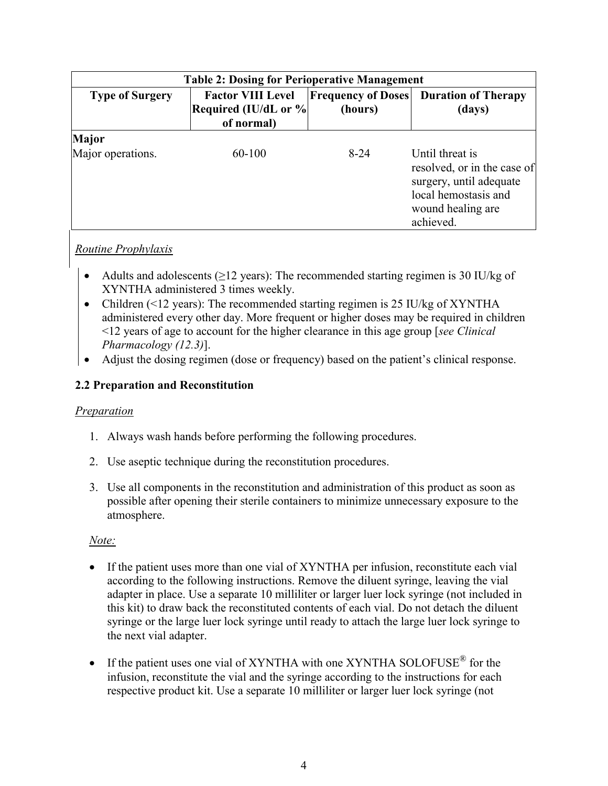| <b>Table 2: Dosing for Perioperative Management</b> |                                                                |                                      |                                                                                                                                      |  |
|-----------------------------------------------------|----------------------------------------------------------------|--------------------------------------|--------------------------------------------------------------------------------------------------------------------------------------|--|
| <b>Type of Surgery</b>                              | <b>Factor VIII Level</b><br>Required (IU/dL or %<br>of normal) | <b>Frequency of Doses</b><br>(hours) | <b>Duration of Therapy</b><br>(days)                                                                                                 |  |
| <b>Major</b>                                        |                                                                |                                      |                                                                                                                                      |  |
| Major operations.                                   | $60 - 100$                                                     | $8 - 24$                             | Until threat is<br>resolved, or in the case of<br>surgery, until adequate<br>local hemostasis and<br>wound healing are.<br>achieved. |  |

## *Routine Prophylaxis*

- Adults and adolescents (≥12 years): The recommended starting regimen is 30 IU/kg of XYNTHA administered 3 times weekly.
- Children (<12 years): The recommended starting regimen is 25 IU/kg of XYNTHA administered every other day. More frequent or higher doses may be required in children <12 years of age to account for the higher clearance in this age group [*see Clinical Pharmacology (12.3)*].
- Adjust the dosing regimen (dose or frequency) based on the patient's clinical response.

## **2.2 Preparation and Reconstitution**

## *Preparation*

- 1. Always wash hands before performing the following procedures.
- 2. Use aseptic technique during the reconstitution procedures.
- 3. Use all components in the reconstitution and administration of this product as soon as possible after opening their sterile containers to minimize unnecessary exposure to the atmosphere.

## *Note:*

- If the patient uses more than one vial of XYNTHA per infusion, reconstitute each vial according to the following instructions. Remove the diluent syringe, leaving the vial adapter in place. Use a separate 10 milliliter or larger luer lock syringe (not included in this kit) to draw back the reconstituted contents of each vial. Do not detach the diluent syringe or the large luer lock syringe until ready to attach the large luer lock syringe to the next vial adapter.
- If the patient uses one vial of XYNTHA with one XYNTHA SOLOFUSE<sup>®</sup> for the infusion, reconstitute the vial and the syringe according to the instructions for each respective product kit. Use a separate 10 milliliter or larger luer lock syringe (not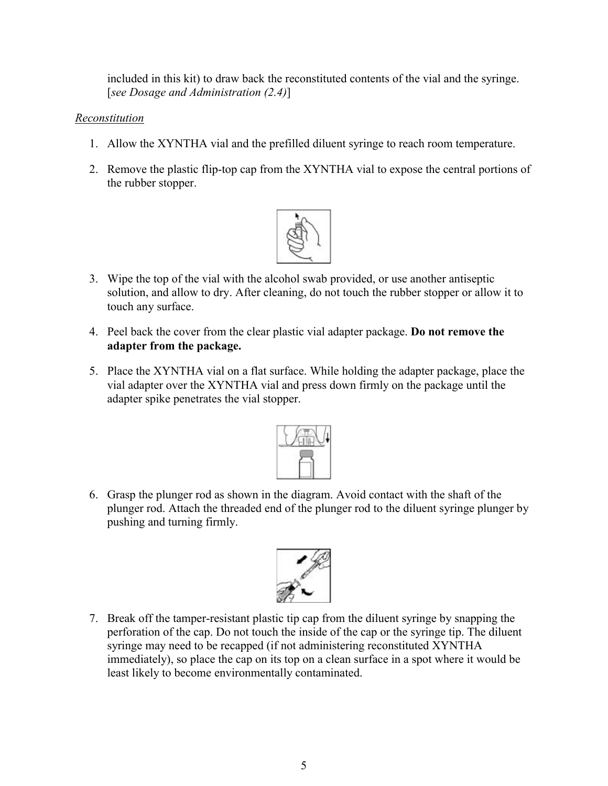included in this kit) to draw back the reconstituted contents of the vial and the syringe. [*see Dosage and Administration (2.4)*]

## *Reconstitution*

- 1. Allow the XYNTHA vial and the prefilled diluent syringe to reach room temperature.
- 2. Remove the plastic flip-top cap from the XYNTHA vial to expose the central portions of the rubber stopper.



- 3. Wipe the top of the vial with the alcohol swab provided, or use another antiseptic solution, and allow to dry. After cleaning, do not touch the rubber stopper or allow it to touch any surface.
- 4. Peel back the cover from the clear plastic vial adapter package. **Do not remove the adapter from the package.**
- 5. Place the XYNTHA vial on a flat surface. While holding the adapter package, place the vial adapter over the XYNTHA vial and press down firmly on the package until the adapter spike penetrates the vial stopper.



6. Grasp the plunger rod as shown in the diagram. Avoid contact with the shaft of the plunger rod. Attach the threaded end of the plunger rod to the diluent syringe plunger by pushing and turning firmly.



7. Break off the tamper-resistant plastic tip cap from the diluent syringe by snapping the perforation of the cap. Do not touch the inside of the cap or the syringe tip. The diluent syringe may need to be recapped (if not administering reconstituted XYNTHA immediately), so place the cap on its top on a clean surface in a spot where it would be least likely to become environmentally contaminated.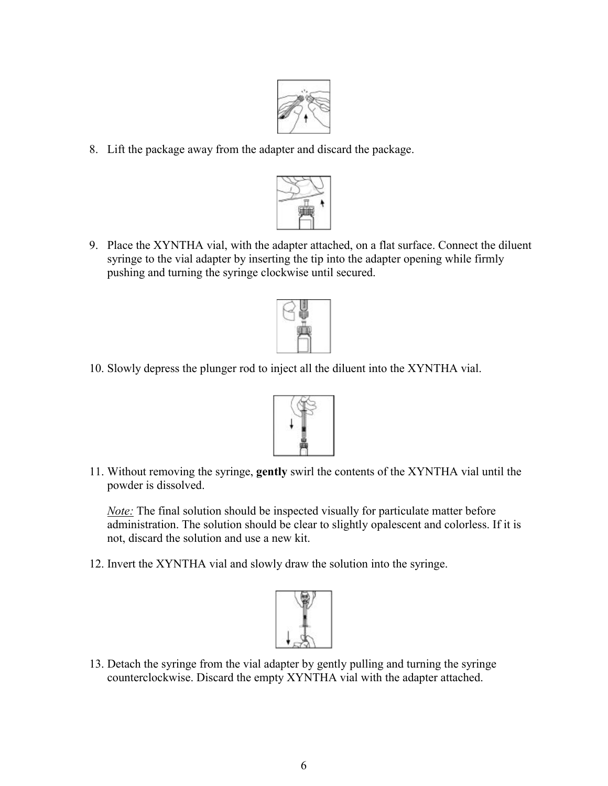

8. Lift the package away from the adapter and discard the package.



9. Place the XYNTHA vial, with the adapter attached, on a flat surface. Connect the diluent syringe to the vial adapter by inserting the tip into the adapter opening while firmly pushing and turning the syringe clockwise until secured.



10. Slowly depress the plunger rod to inject all the diluent into the XYNTHA vial.



11. Without removing the syringe, **gently** swirl the contents of the XYNTHA vial until the powder is dissolved.

*Note:* The final solution should be inspected visually for particulate matter before administration. The solution should be clear to slightly opalescent and colorless. If it is not, discard the solution and use a new kit.

12. Invert the XYNTHA vial and slowly draw the solution into the syringe.



13. Detach the syringe from the vial adapter by gently pulling and turning the syringe counterclockwise. Discard the empty XYNTHA vial with the adapter attached.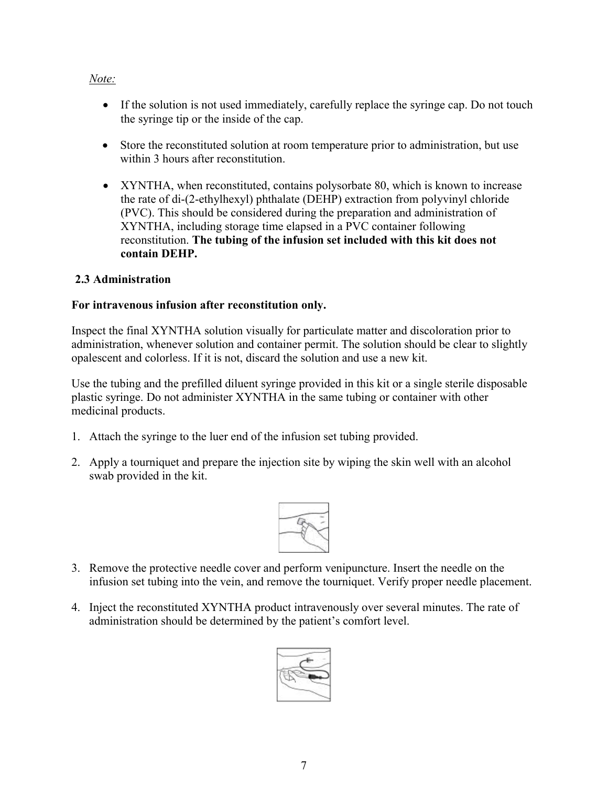## *Note:*

- If the solution is not used immediately, carefully replace the syringe cap. Do not touch the syringe tip or the inside of the cap.
- Store the reconstituted solution at room temperature prior to administration, but use within 3 hours after reconstitution.
- XYNTHA, when reconstituted, contains polysorbate 80, which is known to increase the rate of di-(2-ethylhexyl) phthalate (DEHP) extraction from polyvinyl chloride (PVC). This should be considered during the preparation and administration of XYNTHA, including storage time elapsed in a PVC container following reconstitution. **The tubing of the infusion set included with this kit does not contain DEHP.**

## **2.3 Administration**

## **For intravenous infusion after reconstitution only.**

Inspect the final XYNTHA solution visually for particulate matter and discoloration prior to administration, whenever solution and container permit. The solution should be clear to slightly opalescent and colorless. If it is not, discard the solution and use a new kit.

Use the tubing and the prefilled diluent syringe provided in this kit or a single sterile disposable plastic syringe. Do not administer XYNTHA in the same tubing or container with other medicinal products.

- 1. Attach the syringe to the luer end of the infusion set tubing provided.
- 2. Apply a tourniquet and prepare the injection site by wiping the skin well with an alcohol swab provided in the kit.



- 3. Remove the protective needle cover and perform venipuncture. Insert the needle on the infusion set tubing into the vein, and remove the tourniquet. Verify proper needle placement.
- 4. Inject the reconstituted XYNTHA product intravenously over several minutes. The rate of administration should be determined by the patient's comfort level.

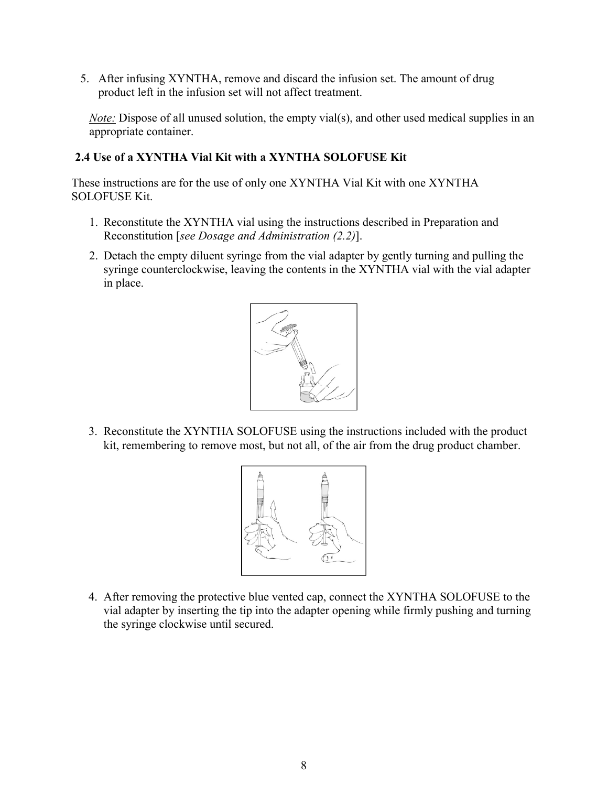5. After infusing XYNTHA, remove and discard the infusion set. The amount of drug product left in the infusion set will not affect treatment.

*Note:* Dispose of all unused solution, the empty vial(s), and other used medical supplies in an appropriate container.

## **2.4 Use of a XYNTHA Vial Kit with a XYNTHA SOLOFUSE Kit**

These instructions are for the use of only one XYNTHA Vial Kit with one XYNTHA SOLOFUSE Kit.

- 1. Reconstitute the XYNTHA vial using the instructions described in Preparation and Reconstitution [*see Dosage and Administration (2.2)*].
- 2. Detach the empty diluent syringe from the vial adapter by gently turning and pulling the syringe counterclockwise, leaving the contents in the XYNTHA vial with the vial adapter in place.



3. Reconstitute the XYNTHA SOLOFUSE using the instructions included with the product kit, remembering to remove most, but not all, of the air from the drug product chamber.



4. After removing the protective blue vented cap, connect the XYNTHA SOLOFUSE to the vial adapter by inserting the tip into the adapter opening while firmly pushing and turning the syringe clockwise until secured.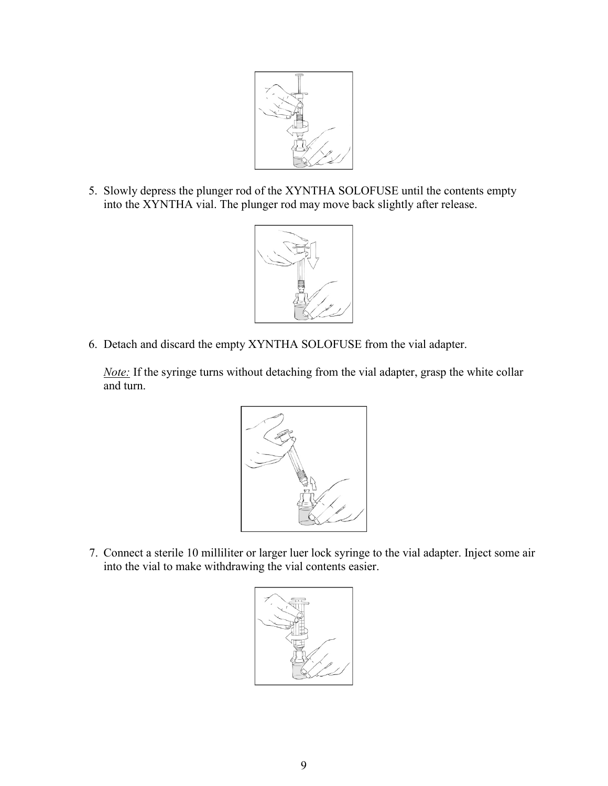

5. Slowly depress the plunger rod of the XYNTHA SOLOFUSE until the contents empty into the XYNTHA vial. The plunger rod may move back slightly after release.



6. Detach and discard the empty XYNTHA SOLOFUSE from the vial adapter.

*Note:* If the syringe turns without detaching from the vial adapter, grasp the white collar and turn.



7. Connect a sterile 10 milliliter or larger luer lock syringe to the vial adapter. Inject some air into the vial to make withdrawing the vial contents easier.

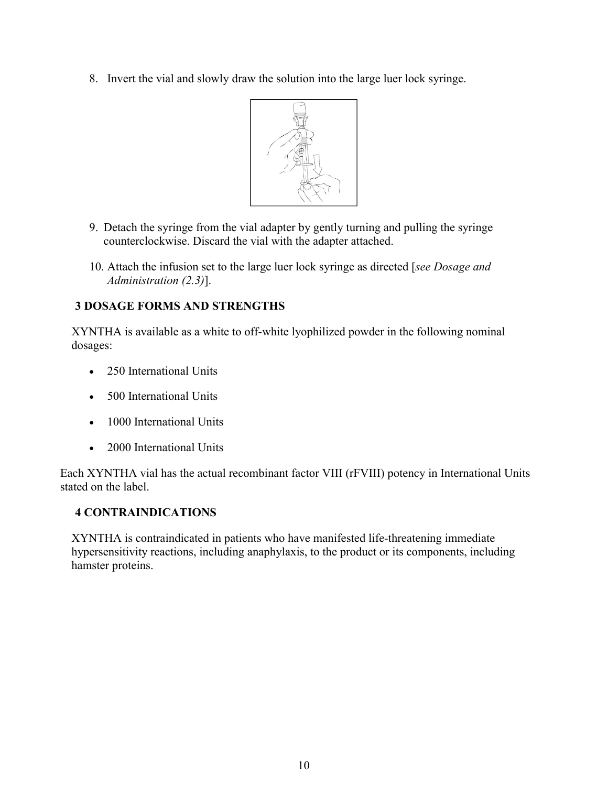8. Invert the vial and slowly draw the solution into the large luer lock syringe.



- 9. Detach the syringe from the vial adapter by gently turning and pulling the syringe counterclockwise. Discard the vial with the adapter attached.
- 10. Attach the infusion set to the large luer lock syringe as directed [*see Dosage and Administration (2.3)*].

# **3 DOSAGE FORMS AND STRENGTHS**

XYNTHA is available as a white to off-white lyophilized powder in the following nominal dosages:

- 250 International Units
- 500 International Units
- 1000 International Units
- 2000 International Units

Each XYNTHA vial has the actual recombinant factor VIII (rFVIII) potency in International Units stated on the label.

## **4 CONTRAINDICATIONS**

XYNTHA is contraindicated in patients who have manifested life-threatening immediate hypersensitivity reactions, including anaphylaxis, to the product or its components, including hamster proteins.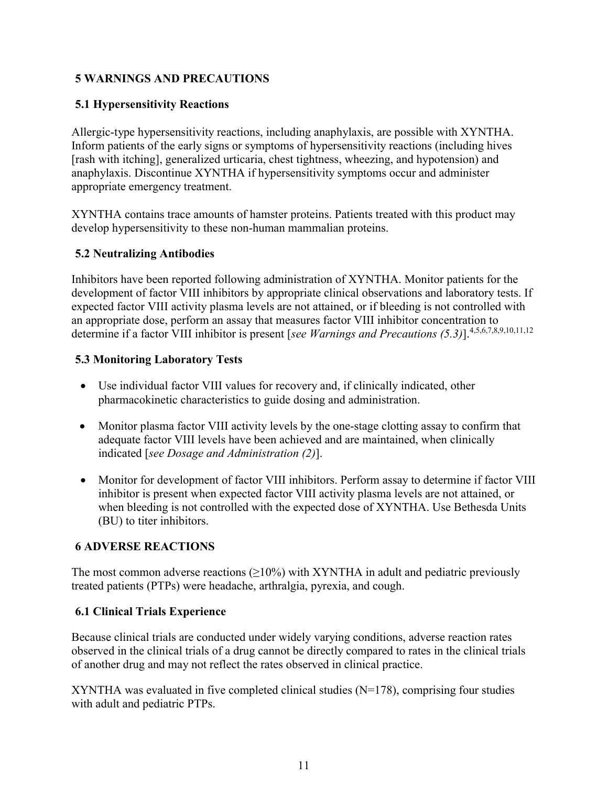## **5 WARNINGS AND PRECAUTIONS**

## **5.1 Hypersensitivity Reactions**

Allergic-type hypersensitivity reactions, including anaphylaxis, are possible with XYNTHA. Inform patients of the early signs or symptoms of hypersensitivity reactions (including hives [rash with itching], generalized urticaria, chest tightness, wheezing, and hypotension) and anaphylaxis. Discontinue XYNTHA if hypersensitivity symptoms occur and administer appropriate emergency treatment.

XYNTHA contains trace amounts of hamster proteins. Patients treated with this product may develop hypersensitivity to these non-human mammalian proteins.

## **5.2 Neutralizing Antibodies**

Inhibitors have been reported following administration of XYNTHA. Monitor patients for the development of factor VIII inhibitors by appropriate clinical observations and laboratory tests. If expected factor VIII activity plasma levels are not attained, or if bleeding is not controlled with an appropriate dose, perform an assay that measures factor VIII inhibitor concentration to determine if a factor VIII inhibitor is present [*see Warnings and Precautions (5.3)*].4,5,6,7,8,9,10,11,12

## **5.3 Monitoring Laboratory Tests**

- Use individual factor VIII values for recovery and, if clinically indicated, other pharmacokinetic characteristics to guide dosing and administration.
- Monitor plasma factor VIII activity levels by the one-stage clotting assay to confirm that adequate factor VIII levels have been achieved and are maintained, when clinically indicated [*see Dosage and Administration (2)*].
- Monitor for development of factor VIII inhibitors. Perform assay to determine if factor VIII inhibitor is present when expected factor VIII activity plasma levels are not attained, or when bleeding is not controlled with the expected dose of XYNTHA. Use Bethesda Units (BU) to titer inhibitors.

## **6 ADVERSE REACTIONS**

The most common adverse reactions  $(\geq 10\%)$  with XYNTHA in adult and pediatric previously treated patients (PTPs) were headache, arthralgia, pyrexia, and cough.

## **6.1 Clinical Trials Experience**

Because clinical trials are conducted under widely varying conditions, adverse reaction rates observed in the clinical trials of a drug cannot be directly compared to rates in the clinical trials of another drug and may not reflect the rates observed in clinical practice.

XYNTHA was evaluated in five completed clinical studies  $(N=178)$ , comprising four studies with adult and pediatric PTPs.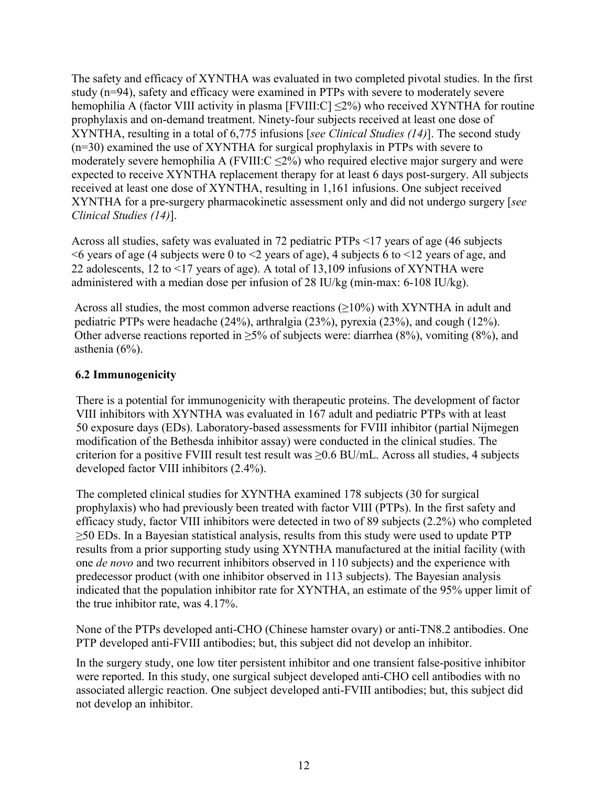The safety and efficacy of XYNTHA was evaluated in two completed pivotal studies. In the first study (n=94), safety and efficacy were examined in PTPs with severe to moderately severe hemophilia A (factor VIII activity in plasma [FVIII:C]  $\leq$ 2%) who received XYNTHA for routine prophylaxis and on-demand treatment. Ninety-four subjects received at least one dose of XYNTHA, resulting in a total of 6,775 infusions [*see Clinical Studies (14)*]. The second study (n=30) examined the use of XYNTHA for surgical prophylaxis in PTPs with severe to moderately severe hemophilia A (FVIII: $C \leq 2\%$ ) who required elective major surgery and were expected to receive XYNTHA replacement therapy for at least 6 days post-surgery. All subjects received at least one dose of XYNTHA, resulting in 1,161 infusions. One subject received XYNTHA for a pre-surgery pharmacokinetic assessment only and did not undergo surgery [*see Clinical Studies (14)*].

Across all studies, safety was evaluated in 72 pediatric PTPs <17 years of age (46 subjects  $\leq$  6 years of age (4 subjects were 0 to  $\leq$  years of age), 4 subjects 6 to  $\leq$  12 years of age, and 22 adolescents, 12 to <17 years of age). A total of 13,109 infusions of XYNTHA were administered with a median dose per infusion of 28 IU/kg (min-max: 6-108 IU/kg).

Across all studies, the most common adverse reactions  $(\geq 10\%)$  with XYNTHA in adult and pediatric PTPs were headache (24%), arthralgia (23%), pyrexia (23%), and cough (12%). Other adverse reactions reported in  $\geq$ 5% of subjects were: diarrhea (8%), vomiting (8%), and asthenia (6%).

## **6.2 Immunogenicity**

There is a potential for immunogenicity with therapeutic proteins. The development of factor VIII inhibitors with XYNTHA was evaluated in 167 adult and pediatric PTPs with at least 50 exposure days (EDs). Laboratory-based assessments for FVIII inhibitor (partial Nijmegen modification of the Bethesda inhibitor assay) were conducted in the clinical studies. The criterion for a positive FVIII result test result was ≥0.6 BU/mL. Across all studies, 4 subjects developed factor VIII inhibitors (2.4%).

The completed clinical studies for XYNTHA examined 178 subjects (30 for surgical prophylaxis) who had previously been treated with factor VIII (PTPs). In the first safety and efficacy study, factor VIII inhibitors were detected in two of 89 subjects (2.2%) who completed ≥50 EDs. In a Bayesian statistical analysis, results from this study were used to update PTP results from a prior supporting study using XYNTHA manufactured at the initial facility (with one *de novo* and two recurrent inhibitors observed in 110 subjects) and the experience with predecessor product (with one inhibitor observed in 113 subjects). The Bayesian analysis indicated that the population inhibitor rate for XYNTHA, an estimate of the 95% upper limit of the true inhibitor rate, was 4.17%.

None of the PTPs developed anti-CHO (Chinese hamster ovary) or anti-TN8.2 antibodies. One PTP developed anti-FVIII antibodies; but, this subject did not develop an inhibitor.

In the surgery study, one low titer persistent inhibitor and one transient false-positive inhibitor were reported. In this study, one surgical subject developed anti-CHO cell antibodies with no associated allergic reaction. One subject developed anti-FVIII antibodies; but, this subject did not develop an inhibitor.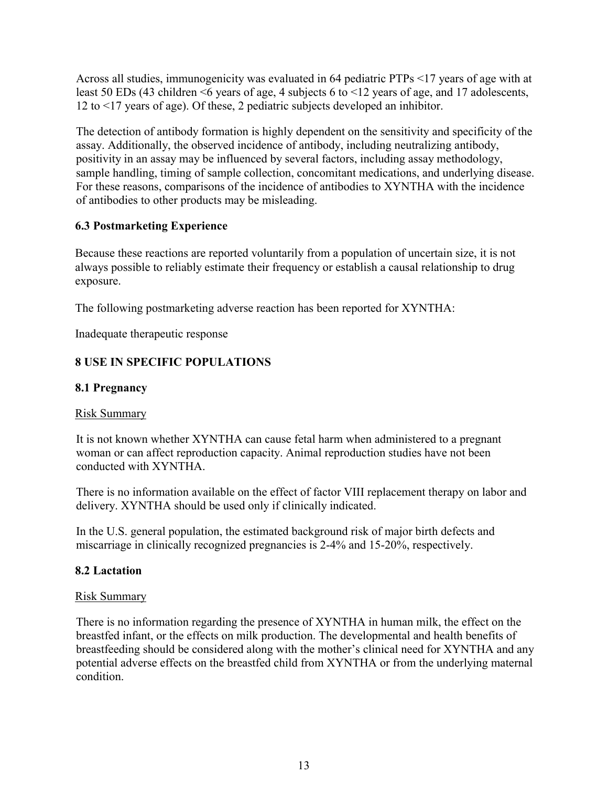Across all studies, immunogenicity was evaluated in 64 pediatric PTPs <17 years of age with at least 50 EDs (43 children <6 years of age, 4 subjects 6 to <12 years of age, and 17 adolescents, 12 to <17 years of age). Of these, 2 pediatric subjects developed an inhibitor.

The detection of antibody formation is highly dependent on the sensitivity and specificity of the assay. Additionally, the observed incidence of antibody, including neutralizing antibody, positivity in an assay may be influenced by several factors, including assay methodology, sample handling, timing of sample collection, concomitant medications, and underlying disease. For these reasons, comparisons of the incidence of antibodies to XYNTHA with the incidence of antibodies to other products may be misleading.

## **6.3 Postmarketing Experience**

Because these reactions are reported voluntarily from a population of uncertain size, it is not always possible to reliably estimate their frequency or establish a causal relationship to drug exposure.

The following postmarketing adverse reaction has been reported for XYNTHA:

Inadequate therapeutic response

# **8 USE IN SPECIFIC POPULATIONS**

## **8.1 Pregnancy**

## Risk Summary

It is not known whether XYNTHA can cause fetal harm when administered to a pregnant woman or can affect reproduction capacity. Animal reproduction studies have not been conducted with XYNTHA.

There is no information available on the effect of factor VIII replacement therapy on labor and delivery. XYNTHA should be used only if clinically indicated.

In the U.S. general population, the estimated background risk of major birth defects and miscarriage in clinically recognized pregnancies is 2-4% and 15-20%, respectively.

## **8.2 Lactation**

## Risk Summary

There is no information regarding the presence of XYNTHA in human milk, the effect on the breastfed infant, or the effects on milk production. The developmental and health benefits of breastfeeding should be considered along with the mother's clinical need for XYNTHA and any potential adverse effects on the breastfed child from XYNTHA or from the underlying maternal condition.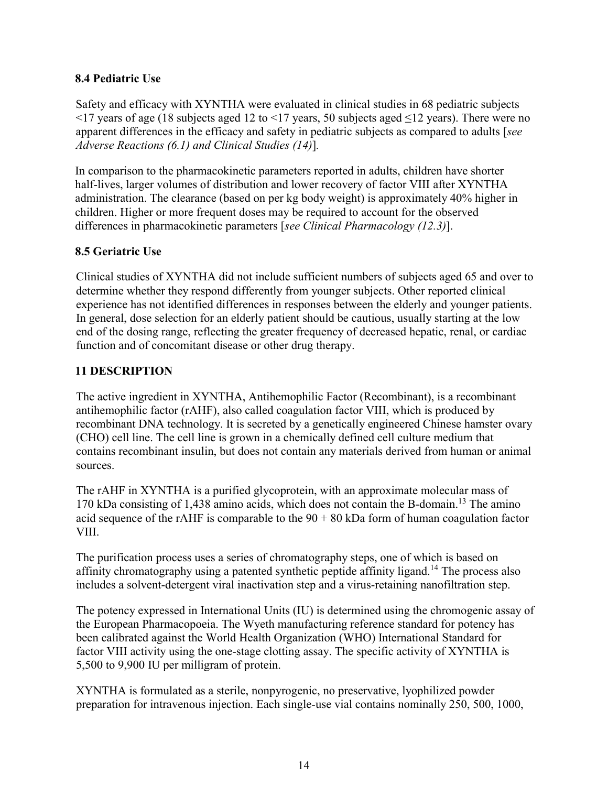## **8.4 Pediatric Use**

Safety and efficacy with XYNTHA were evaluated in clinical studies in 68 pediatric subjects  $\leq$ 17 years of age (18 subjects aged 12 to  $\leq$ 17 years, 50 subjects aged  $\leq$ 12 years). There were no apparent differences in the efficacy and safety in pediatric subjects as compared to adults [*see Adverse Reactions (6.1) and Clinical Studies (14)*]*.*

In comparison to the pharmacokinetic parameters reported in adults, children have shorter half-lives, larger volumes of distribution and lower recovery of factor VIII after XYNTHA administration. The clearance (based on per kg body weight) is approximately 40% higher in children. Higher or more frequent doses may be required to account for the observed differences in pharmacokinetic parameters [*see Clinical Pharmacology (12.3)*].

## **8.5 Geriatric Use**

Clinical studies of XYNTHA did not include sufficient numbers of subjects aged 65 and over to determine whether they respond differently from younger subjects. Other reported clinical experience has not identified differences in responses between the elderly and younger patients. In general, dose selection for an elderly patient should be cautious, usually starting at the low end of the dosing range, reflecting the greater frequency of decreased hepatic, renal, or cardiac function and of concomitant disease or other drug therapy.

## **11 DESCRIPTION**

The active ingredient in XYNTHA, Antihemophilic Factor (Recombinant), is a recombinant antihemophilic factor (rAHF), also called coagulation factor VIII, which is produced by recombinant DNA technology. It is secreted by a genetically engineered Chinese hamster ovary (CHO) cell line. The cell line is grown in a chemically defined cell culture medium that contains recombinant insulin, but does not contain any materials derived from human or animal sources.

The rAHF in XYNTHA is a purified glycoprotein, with an approximate molecular mass of 170 kDa consisting of 1,438 amino acids, which does not contain the B-domain.<sup>13</sup> The amino acid sequence of the rAHF is comparable to the  $90 + 80$  kDa form of human coagulation factor VIII.

The purification process uses a series of chromatography steps, one of which is based on affinity chromatography using a patented synthetic peptide affinity ligand.<sup>14</sup> The process also includes a solvent-detergent viral inactivation step and a virus-retaining nanofiltration step.

The potency expressed in International Units (IU) is determined using the chromogenic assay of the European Pharmacopoeia. The Wyeth manufacturing reference standard for potency has been calibrated against the World Health Organization (WHO) International Standard for factor VIII activity using the one-stage clotting assay. The specific activity of XYNTHA is 5,500 to 9,900 IU per milligram of protein.

XYNTHA is formulated as a sterile, nonpyrogenic, no preservative, lyophilized powder preparation for intravenous injection. Each single-use vial contains nominally 250, 500, 1000,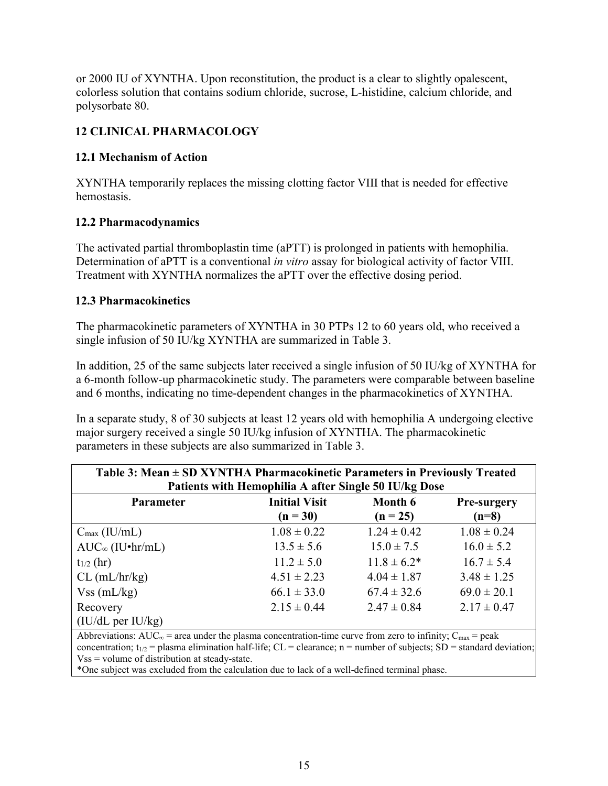or 2000 IU of XYNTHA. Upon reconstitution, the product is a clear to slightly opalescent, colorless solution that contains sodium chloride, sucrose, L-histidine, calcium chloride, and polysorbate 80.

## **12 CLINICAL PHARMACOLOGY**

## **12.1 Mechanism of Action**

XYNTHA temporarily replaces the missing clotting factor VIII that is needed for effective hemostasis.

## **12.2 Pharmacodynamics**

The activated partial thromboplastin time (aPTT) is prolonged in patients with hemophilia. Determination of aPTT is a conventional *in vitro* assay for biological activity of factor VIII. Treatment with XYNTHA normalizes the aPTT over the effective dosing period.

## **12.3 Pharmacokinetics**

The pharmacokinetic parameters of XYNTHA in 30 PTPs 12 to 60 years old, who received a single infusion of 50 IU/kg XYNTHA are summarized in Table 3.

In addition, 25 of the same subjects later received a single infusion of 50 IU/kg of XYNTHA for a 6-month follow-up pharmacokinetic study. The parameters were comparable between baseline and 6 months, indicating no time-dependent changes in the pharmacokinetics of XYNTHA.

In a separate study, 8 of 30 subjects at least 12 years old with hemophilia A undergoing elective major surgery received a single 50 IU/kg infusion of XYNTHA. The pharmacokinetic parameters in these subjects are also summarized in Table 3.

| Table 3: Mean ± SD XYNTHA Pharmacokinetic Parameters in Previously Treated<br>Patients with Hemophilia A after Single 50 IU/kg Dose |                 |                  |                 |  |  |  |  |
|-------------------------------------------------------------------------------------------------------------------------------------|-----------------|------------------|-----------------|--|--|--|--|
| <b>Initial Visit</b><br>Month 6<br>Parameter<br><b>Pre-surgery</b><br>$(n = 30)$<br>$(n = 25)$<br>$(n=8)$                           |                 |                  |                 |  |  |  |  |
| $C_{\text{max}}$ (IU/mL)                                                                                                            | $1.08 \pm 0.22$ | $1.24 \pm 0.42$  | $1.08 \pm 0.24$ |  |  |  |  |
| $AUC_{\infty}$ (IU•hr/mL)                                                                                                           | $13.5 \pm 5.6$  | $15.0 \pm 7.5$   | $16.0 \pm 5.2$  |  |  |  |  |
| $t_{1/2}$ (hr)                                                                                                                      | $11.2 \pm 5.0$  | $11.8 \pm 6.2^*$ | $16.7 \pm 5.4$  |  |  |  |  |
| $CL$ (mL/hr/kg)                                                                                                                     | $4.51 \pm 2.23$ | $4.04 \pm 1.87$  | $3.48 \pm 1.25$ |  |  |  |  |
| $Vss$ (mL/kg)                                                                                                                       | $66.1 \pm 33.0$ | $67.4 \pm 32.6$  | $69.0 \pm 20.1$ |  |  |  |  |
| Recovery                                                                                                                            | $2.15 \pm 0.44$ | $2.47 \pm 0.84$  | $2.17 \pm 0.47$ |  |  |  |  |
| $(IU/dL$ per $IU/kg)$                                                                                                               |                 |                  |                 |  |  |  |  |

Abbreviations:  $AUC_{\infty}$  = area under the plasma concentration-time curve from zero to infinity;  $C_{\text{max}}$  = peak concentration;  $t_{1/2}$  = plasma elimination half-life; CL = clearance; n = number of subjects; SD = standard deviation; Vss = volume of distribution at steady-state.

\*One subject was excluded from the calculation due to lack of a well-defined terminal phase.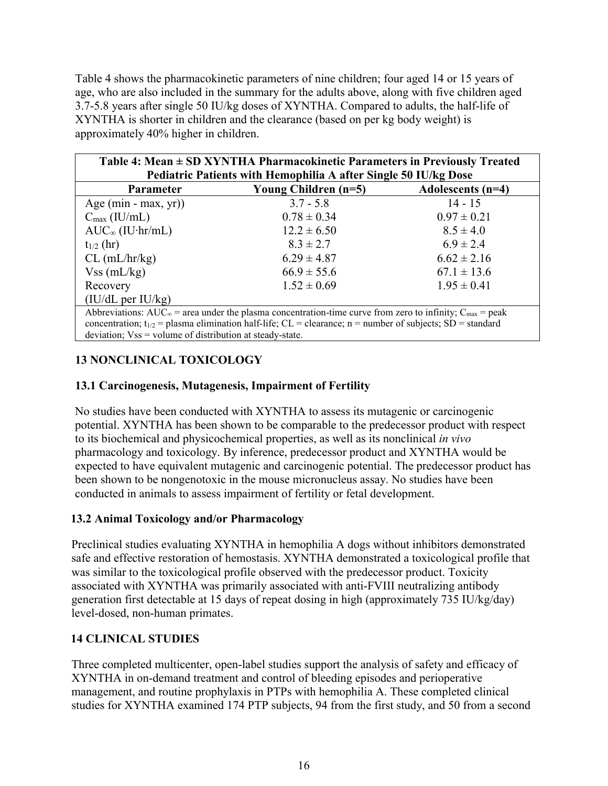Table 4 shows the pharmacokinetic parameters of nine children; four aged 14 or 15 years of age, who are also included in the summary for the adults above, along with five children aged 3.7-5.8 years after single 50 IU/kg doses of XYNTHA. Compared to adults, the half-life of XYNTHA is shorter in children and the clearance (based on per kg body weight) is approximately 40% higher in children.

| Table 4: Mean ± SD XYNTHA Pharmacokinetic Parameters in Previously Treated<br>Pediatric Patients with Hemophilia A after Single 50 IU/kg Dose                                                                                                   |                        |                     |  |  |  |  |
|-------------------------------------------------------------------------------------------------------------------------------------------------------------------------------------------------------------------------------------------------|------------------------|---------------------|--|--|--|--|
| <b>Parameter</b>                                                                                                                                                                                                                                | Young Children $(n=5)$ | Adolescents $(n=4)$ |  |  |  |  |
| Age $(min - max, yr)$ )                                                                                                                                                                                                                         | $3.7 - 5.8$            | $14 - 15$           |  |  |  |  |
| $C_{\text{max}}$ (IU/mL)                                                                                                                                                                                                                        | $0.78 \pm 0.34$        | $0.97 \pm 0.21$     |  |  |  |  |
| $AUC_{\infty}$ (IU·hr/mL)                                                                                                                                                                                                                       | $12.2 \pm 6.50$        | $8.5 \pm 4.0$       |  |  |  |  |
| $t_{1/2}$ (hr)                                                                                                                                                                                                                                  | $8.3 \pm 2.7$          | $6.9 \pm 2.4$       |  |  |  |  |
| $CL$ (mL/hr/kg)                                                                                                                                                                                                                                 | $6.29 \pm 4.87$        | $6.62 \pm 2.16$     |  |  |  |  |
| $Vss$ (mL/kg)                                                                                                                                                                                                                                   | $66.9 \pm 55.6$        | $67.1 \pm 13.6$     |  |  |  |  |
| Recovery                                                                                                                                                                                                                                        | $1.52 \pm 0.69$        | $1.95 \pm 0.41$     |  |  |  |  |
| $(IU/dL$ per $IU/kg)$                                                                                                                                                                                                                           |                        |                     |  |  |  |  |
| Abbreviations: $AUC_{\infty}$ = area under the plasma concentration-time curve from zero to infinity; $C_{\text{max}}$ = peak<br>concentration; $t_{1/2}$ = plasma elimination half-life; CL = clearance; n = number of subjects; SD = standard |                        |                     |  |  |  |  |
| deviation; $Vss =$ volume of distribution at steady-state.                                                                                                                                                                                      |                        |                     |  |  |  |  |

# **13 NONCLINICAL TOXICOLOGY**

## **13.1 Carcinogenesis, Mutagenesis, Impairment of Fertility**

No studies have been conducted with XYNTHA to assess its mutagenic or carcinogenic potential. XYNTHA has been shown to be comparable to the predecessor product with respect to its biochemical and physicochemical properties, as well as its nonclinical *in vivo* pharmacology and toxicology. By inference, predecessor product and XYNTHA would be expected to have equivalent mutagenic and carcinogenic potential. The predecessor product has been shown to be nongenotoxic in the mouse micronucleus assay. No studies have been conducted in animals to assess impairment of fertility or fetal development.

## **13.2 Animal Toxicology and/or Pharmacology**

Preclinical studies evaluating XYNTHA in hemophilia A dogs without inhibitors demonstrated safe and effective restoration of hemostasis. XYNTHA demonstrated a toxicological profile that was similar to the toxicological profile observed with the predecessor product. Toxicity associated with XYNTHA was primarily associated with anti-FVIII neutralizing antibody generation first detectable at 15 days of repeat dosing in high (approximately 735 IU/kg/day) level-dosed, non-human primates.

## **14 CLINICAL STUDIES**

Three completed multicenter, open-label studies support the analysis of safety and efficacy of XYNTHA in on-demand treatment and control of bleeding episodes and perioperative management, and routine prophylaxis in PTPs with hemophilia A. These completed clinical studies for XYNTHA examined 174 PTP subjects, 94 from the first study, and 50 from a second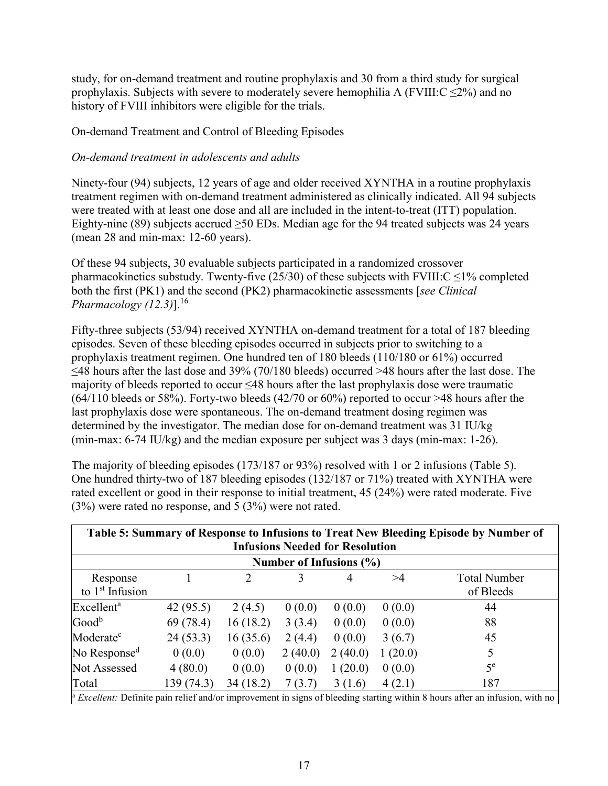study, for on-demand treatment and routine prophylaxis and 30 from a third study for surgical prophylaxis. Subjects with severe to moderately severe hemophilia A (FVIII: $C \leq 2\%$ ) and no history of FVIII inhibitors were eligible for the trials.

On-demand Treatment and Control of Bleeding Episodes

#### *On-demand treatment in adolescents and adults*

Ninety-four (94) subjects, 12 years of age and older received XYNTHA in a routine prophylaxis treatment regimen with on-demand treatment administered as clinically indicated. All 94 subjects were treated with at least one dose and all are included in the intent-to-treat (ITT) population. Eighty-nine (89) subjects accrued  $\geq$ 50 EDs. Median age for the 94 treated subjects was 24 years (mean 28 and min-max: 12-60 years).

Of these 94 subjects, 30 evaluable subjects participated in a randomized crossover pharmacokinetics substudy. Twenty-five (25/30) of these subjects with  $FVIII:C \leq 1\%$  completed both the first (PK1) and the second (PK2) pharmacokinetic assessments [*see Clinical Pharmacology (12.3)*].<sup>16</sup>

Fifty-three subjects (53/94) received XYNTHA on-demand treatment for a total of 187 bleeding episodes. Seven of these bleeding episodes occurred in subjects prior to switching to a prophylaxis treatment regimen. One hundred ten of 180 bleeds (110/180 or 61%) occurred ≤48 hours after the last dose and 39% (70/180 bleeds) occurred >48 hours after the last dose. The majority of bleeds reported to occur ≤48 hours after the last prophylaxis dose were traumatic  $(64/110$  bleeds or 58%). Forty-two bleeds  $(42/70 \text{ or } 60\%)$  reported to occur >48 hours after the last prophylaxis dose were spontaneous. The on-demand treatment dosing regimen was determined by the investigator. The median dose for on-demand treatment was 31 IU/kg (min-max: 6-74 IU/kg) and the median exposure per subject was 3 days (min-max: 1-26).

The majority of bleeding episodes (173/187 or 93%) resolved with 1 or 2 infusions (Table 5). One hundred thirty-two of 187 bleeding episodes (132/187 or 71%) treated with XYNTHA were rated excellent or good in their response to initial treatment, 45 (24%) were rated moderate. Five (3%) were rated no response, and 5 (3%) were not rated.

| Table 5: Summary of Response to Infusions to Treat New Bleeding Episode by Number of<br><b>Infusions Needed for Resolution</b> |            |           |                             |         |         |                                                                                                                                                |
|--------------------------------------------------------------------------------------------------------------------------------|------------|-----------|-----------------------------|---------|---------|------------------------------------------------------------------------------------------------------------------------------------------------|
|                                                                                                                                |            |           | Number of Infusions $(\% )$ |         |         |                                                                                                                                                |
| Response<br>to $1st$ Infusion                                                                                                  |            |           | 3                           | 4       | >4      | <b>Total Number</b><br>of Bleeds                                                                                                               |
| Excellent <sup>a</sup>                                                                                                         | 42(95.5)   | 2(4.5)    | 0(0.0)                      | 0(0.0)  | 0(0.0)  | 44                                                                                                                                             |
| Good <sup>b</sup>                                                                                                              | 69 (78.4)  | 16(18.2)  | 3(3.4)                      | 0(0.0)  | 0(0.0)  | 88                                                                                                                                             |
| Moderate <sup>c</sup>                                                                                                          | 24(53.3)   | 16(35.6)  | 2(4.4)                      | 0(0.0)  | 3(6.7)  | 45                                                                                                                                             |
| No Response <sup>d</sup>                                                                                                       | 0(0.0)     | 0(0.0)    | 2(40.0)                     | 2(40.0) | 1(20.0) | 5                                                                                                                                              |
| <b>Not Assessed</b>                                                                                                            | 4(80.0)    | 0(0.0)    | 0(0.0)                      | 1(20.0) | 0(0.0)  | $5^{\text{e}}$                                                                                                                                 |
| Total                                                                                                                          | 139 (74.3) | 34 (18.2) | 7(3.7)                      | 3(1.6)  | 4(2.1)  | 187                                                                                                                                            |
|                                                                                                                                |            |           |                             |         |         | <sup>a</sup> <i>Excellent:</i> Definite pain relief and/or improvement in signs of bleeding starting within 8 hours after an infusion, with no |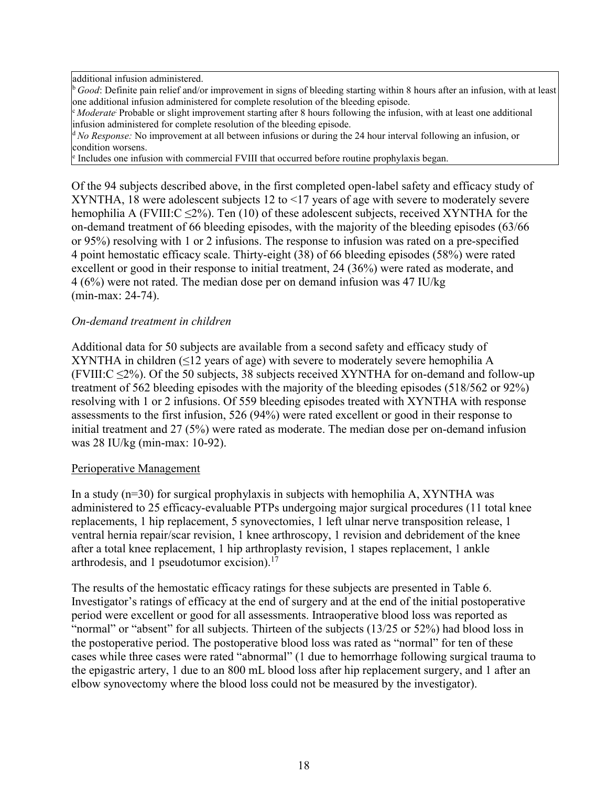additional infusion administered.

<sup>b</sup>*Good*: Definite pain relief and/or improvement in signs of bleeding starting within 8 hours after an infusion, with at least one additional infusion administered for complete resolution of the bleeding episode.

*Moderate*: Probable or slight improvement starting after 8 hours following the infusion, with at least one additional infusion administered for complete resolution of the bleeding episode.

<sup>d</sup> *No Response:* No improvement at all between infusions or during the 24 hour interval following an infusion, or condition worsens.

e Includes one infusion with commercial FVIII that occurred before routine prophylaxis began.

Of the 94 subjects described above, in the first completed open-label safety and efficacy study of XYNTHA, 18 were adolescent subjects 12 to <17 years of age with severe to moderately severe hemophilia A (FVIII: $C \le 2\%$ ). Ten (10) of these adolescent subjects, received XYNTHA for the on-demand treatment of 66 bleeding episodes, with the majority of the bleeding episodes (63/66 or 95%) resolving with 1 or 2 infusions. The response to infusion was rated on a pre-specified 4 point hemostatic efficacy scale. Thirty-eight (38) of 66 bleeding episodes (58%) were rated excellent or good in their response to initial treatment, 24 (36%) were rated as moderate, and 4 (6%) were not rated. The median dose per on demand infusion was 47 IU/kg (min-max: 24-74).

#### *On-demand treatment in children*

Additional data for 50 subjects are available from a second safety and efficacy study of XYNTHA in children  $(\leq 12$  years of age) with severe to moderately severe hemophilia A (FVIII: $C \le 2\%$ ). Of the 50 subjects, 38 subjects received XYNTHA for on-demand and follow-up treatment of 562 bleeding episodes with the majority of the bleeding episodes (518/562 or 92%) resolving with 1 or 2 infusions. Of 559 bleeding episodes treated with XYNTHA with response assessments to the first infusion, 526 (94%) were rated excellent or good in their response to initial treatment and 27 (5%) were rated as moderate. The median dose per on-demand infusion was 28 IU/kg (min-max: 10-92).

#### Perioperative Management

In a study  $(n=30)$  for surgical prophylaxis in subjects with hemophilia A, XYNTHA was administered to 25 efficacy-evaluable PTPs undergoing major surgical procedures (11 total knee replacements, 1 hip replacement, 5 synovectomies, 1 left ulnar nerve transposition release, 1 ventral hernia repair/scar revision, 1 knee arthroscopy, 1 revision and debridement of the knee after a total knee replacement, 1 hip arthroplasty revision, 1 stapes replacement, 1 ankle arthrodesis, and 1 pseudotumor excision).<sup>17</sup>

The results of the hemostatic efficacy ratings for these subjects are presented in Table 6. Investigator's ratings of efficacy at the end of surgery and at the end of the initial postoperative period were excellent or good for all assessments. Intraoperative blood loss was reported as "normal" or "absent" for all subjects. Thirteen of the subjects (13/25 or 52%) had blood loss in the postoperative period. The postoperative blood loss was rated as "normal" for ten of these cases while three cases were rated "abnormal" (1 due to hemorrhage following surgical trauma to the epigastric artery, 1 due to an 800 mL blood loss after hip replacement surgery, and 1 after an elbow synovectomy where the blood loss could not be measured by the investigator).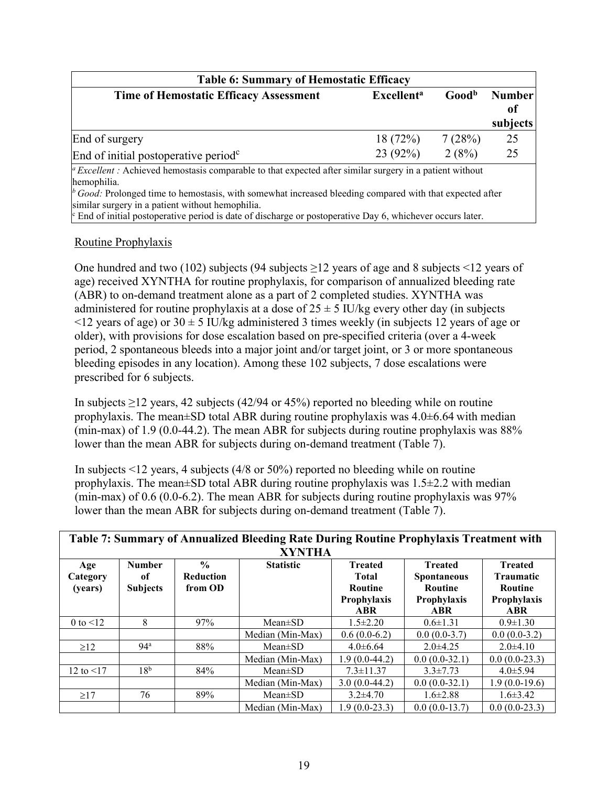| <b>Table 6: Summary of Hemostatic Efficacy</b>                                                                                                                                                                                                |          |        |    |  |  |  |
|-----------------------------------------------------------------------------------------------------------------------------------------------------------------------------------------------------------------------------------------------|----------|--------|----|--|--|--|
| Good <sup>b</sup><br><b>Number</b><br><b>Excellent</b> <sup>a</sup><br><b>Time of Hemostatic Efficacy Assessment</b><br>subjects                                                                                                              |          |        |    |  |  |  |
| End of surgery                                                                                                                                                                                                                                | 18(72%)  | 7(28%) | 25 |  |  |  |
| End of initial postoperative period <sup>c</sup>                                                                                                                                                                                              | 23 (92%) | 2(8%)  | 25 |  |  |  |
| $\mu$ Excellent : Achieved hemostasis comparable to that expected after similar surgery in a patient without<br>hemophilia.<br>$\beta$ Good: Prolonged time to hemostasis, with somewhat increased bleeding compared with that expected after |          |        |    |  |  |  |
| similar surgery in a patient without hemophilia.<br>$\epsilon$ End of initial postoperative period is date of discharge or postoperative Day 6, whichever occurs later.                                                                       |          |        |    |  |  |  |

## Routine Prophylaxis

One hundred and two (102) subjects (94 subjects  $\geq$ 12 years of age and 8 subjects <12 years of age) received XYNTHA for routine prophylaxis, for comparison of annualized bleeding rate (ABR) to on-demand treatment alone as a part of 2 completed studies. XYNTHA was administered for routine prophylaxis at a dose of  $25 \pm 5$  IU/kg every other day (in subjects  $\leq$ 12 years of age) or 30  $\pm$  5 IU/kg administered 3 times weekly (in subjects 12 years of age or older), with provisions for dose escalation based on pre-specified criteria (over a 4-week period, 2 spontaneous bleeds into a major joint and/or target joint, or 3 or more spontaneous bleeding episodes in any location). Among these 102 subjects, 7 dose escalations were prescribed for 6 subjects.

In subjects  $\geq$ 12 years, 42 subjects (42/94 or 45%) reported no bleeding while on routine prophylaxis. The mean±SD total ABR during routine prophylaxis was 4.0±6.64 with median (min-max) of 1.9 (0.0-44.2). The mean ABR for subjects during routine prophylaxis was 88% lower than the mean ABR for subjects during on-demand treatment (Table 7).

In subjects <12 years, 4 subjects (4/8 or 50%) reported no bleeding while on routine prophylaxis. The mean $\pm$ SD total ABR during routine prophylaxis was 1.5 $\pm$ 2.2 with median (min-max) of 0.6 (0.0-6.2). The mean ABR for subjects during routine prophylaxis was 97% lower than the mean ABR for subjects during on-demand treatment (Table 7).

|                            | Table 7: Summary of Annualized Bleeding Rate During Routine Prophylaxis Treatment with |                                              |                  |                                                                 |                                                                       |                                                                     |
|----------------------------|----------------------------------------------------------------------------------------|----------------------------------------------|------------------|-----------------------------------------------------------------|-----------------------------------------------------------------------|---------------------------------------------------------------------|
|                            | <b>XYNTHA</b>                                                                          |                                              |                  |                                                                 |                                                                       |                                                                     |
| Age<br>Category<br>(years) | <b>Number</b><br>оf<br><b>Subjects</b>                                                 | $\frac{0}{0}$<br><b>Reduction</b><br>from OD | <b>Statistic</b> | <b>Treated</b><br><b>Total</b><br><b>Routine</b><br>Prophylaxis | <b>Treated</b><br><b>Spontaneous</b><br><b>Routine</b><br>Prophylaxis | <b>Treated</b><br><b>Traumatic</b><br><b>Routine</b><br>Prophylaxis |
|                            |                                                                                        |                                              |                  | <b>ABR</b>                                                      | <b>ABR</b>                                                            | <b>ABR</b>                                                          |
| 0 to $\leq$ 12             | 8                                                                                      | 97%                                          | $Mean \pm SD$    | $1.5 \pm 2.20$                                                  | $0.6 \pm 1.31$                                                        | $0.9 \pm 1.30$                                                      |
|                            |                                                                                        |                                              | Median (Min-Max) | $0.6(0.0-6.2)$                                                  | $0.0(0.0-3.7)$                                                        | $0.0(0.0-3.2)$                                                      |
| $\geq$ 12                  | 94 <sup>a</sup>                                                                        | 88%                                          | $Mean \pm SD$    | $4.0 \pm 6.64$                                                  | $2.0\pm4.25$                                                          | $2.0\pm4.10$                                                        |
|                            |                                                                                        |                                              | Median (Min-Max) | $1.9(0.0-44.2)$                                                 | $0.0(0.0-32.1)$                                                       | $0.0(0.0-23.3)$                                                     |
| 12 to $\leq$ 17            | 18 <sup>b</sup>                                                                        | 84%                                          | $Mean \pm SD$    | $7.3 \pm 11.37$                                                 | $3.3 \pm 7.73$                                                        | $4.0 \pm 5.94$                                                      |
|                            |                                                                                        |                                              | Median (Min-Max) | $3.0(0.0-44.2)$                                                 | $0.0(0.0-32.1)$                                                       | $1.9(0.0-19.6)$                                                     |
| $\geq$ 17                  | 76                                                                                     | 89%                                          | $Mean \pm SD$    | $3.2\pm4.70$                                                    | $1.6 \pm 2.88$                                                        | $1.6 \pm 3.42$                                                      |
|                            |                                                                                        |                                              | Median (Min-Max) | $1.9(0.0-23.3)$                                                 | $0.0(0.0-13.7)$                                                       | $0.0(0.0-23.3)$                                                     |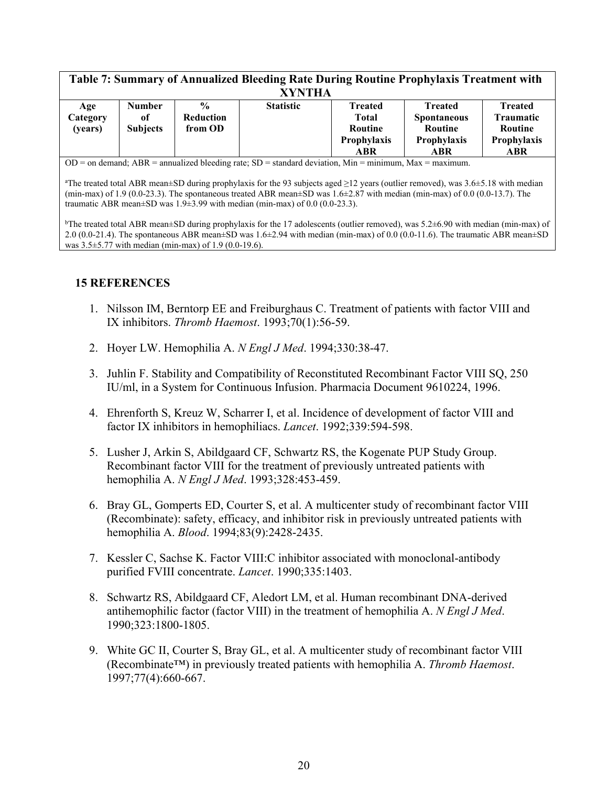| Table 7: Summary of Annualized Bleeding Rate During Routine Prophylaxis Treatment with<br><b>XYNTHA</b> |                                                                                                                    |               |                  |                |                    |                  |
|---------------------------------------------------------------------------------------------------------|--------------------------------------------------------------------------------------------------------------------|---------------|------------------|----------------|--------------------|------------------|
| Age                                                                                                     | <b>Number</b>                                                                                                      | $\frac{0}{0}$ | <b>Statistic</b> | <b>Treated</b> | <b>Treated</b>     | <b>Treated</b>   |
| Category                                                                                                | оf                                                                                                                 | Reduction     |                  | <b>Total</b>   | <b>Spontaneous</b> | <b>Traumatic</b> |
| <b>Subjects</b><br>from OD<br>(years)<br>Routine<br>Routine<br><b>Routine</b>                           |                                                                                                                    |               |                  |                |                    |                  |
|                                                                                                         |                                                                                                                    |               |                  | Prophylaxis    | Prophylaxis        | Prophylaxis      |
|                                                                                                         |                                                                                                                    |               |                  | ABR            | ABR                | <b>ABR</b>       |
|                                                                                                         | $\overline{OD}$ = on demand: ARR = annualized bleeding rate: $SD$ = standard deviation Min = minimum Max = maximum |               |                  |                |                    |                  |

OD = on demand; ABR = annualized bleeding rate; SD = standard deviation, Min = minimum, Max = maximum.

<sup>a</sup>The treated total ABR mean $\pm$ SD during prophylaxis for the 93 subjects aged  $\geq$ 12 years (outlier removed), was 3.6 $\pm$ 5.18 with median  $(\text{min-max})$  of 1.9 (0.0-23.3). The spontaneous treated ABR mean $\pm$ SD was 1.6 $\pm$ 2.87 with median  $(\text{min-max})$  of 0.0 (0.0-13.7). The traumatic ABR mean $\pm$ SD was 1.9 $\pm$ 3.99 with median (min-max) of 0.0 (0.0-23.3).

<sup>b</sup>The treated total ABR mean±SD during prophylaxis for the 17 adolescents (outlier removed), was 5.2±6.90 with median (min-max) of 2.0 (0.0-21.4). The spontaneous ABR mean $\pm$ SD was 1.6 $\pm$ 2.94 with median (min-max) of 0.0 (0.0-11.6). The traumatic ABR mean $\pm$ SD was 3.5±5.77 with median (min-max) of 1.9 (0.0-19.6).

## **15 REFERENCES**

- 1. Nilsson IM, Berntorp EE and Freiburghaus C. Treatment of patients with factor VIII and IX inhibitors. *Thromb Haemost*. 1993;70(1):56-59.
- 2. Hoyer LW. Hemophilia A. *N Engl J Med*. 1994;330:38-47.
- 3. Juhlin F. Stability and Compatibility of Reconstituted Recombinant Factor VIII SQ, 250 IU/ml, in a System for Continuous Infusion. Pharmacia Document 9610224, 1996.
- 4. Ehrenforth S, Kreuz W, Scharrer I, et al. Incidence of development of factor VIII and factor IX inhibitors in hemophiliacs. *Lancet*. 1992;339:594-598.
- 5. Lusher J, Arkin S, Abildgaard CF, Schwartz RS, the Kogenate PUP Study Group. Recombinant factor VIII for the treatment of previously untreated patients with hemophilia A. *N Engl J Med*. 1993;328:453-459.
- 6. Bray GL, Gomperts ED, Courter S, et al. A multicenter study of recombinant factor VIII (Recombinate): safety, efficacy, and inhibitor risk in previously untreated patients with hemophilia A. *Blood*. 1994;83(9):2428-2435.
- 7. Kessler C, Sachse K. Factor VIII:C inhibitor associated with monoclonal-antibody purified FVIII concentrate. *Lancet*. 1990;335:1403.
- 8. Schwartz RS, Abildgaard CF, Aledort LM, et al. Human recombinant DNA-derived antihemophilic factor (factor VIII) in the treatment of hemophilia A. *N Engl J Med*. 1990;323:1800-1805.
- 9. White GC II, Courter S, Bray GL, et al. A multicenter study of recombinant factor VIII (Recombinate™) in previously treated patients with hemophilia A. *Thromb Haemost*. 1997;77(4):660-667.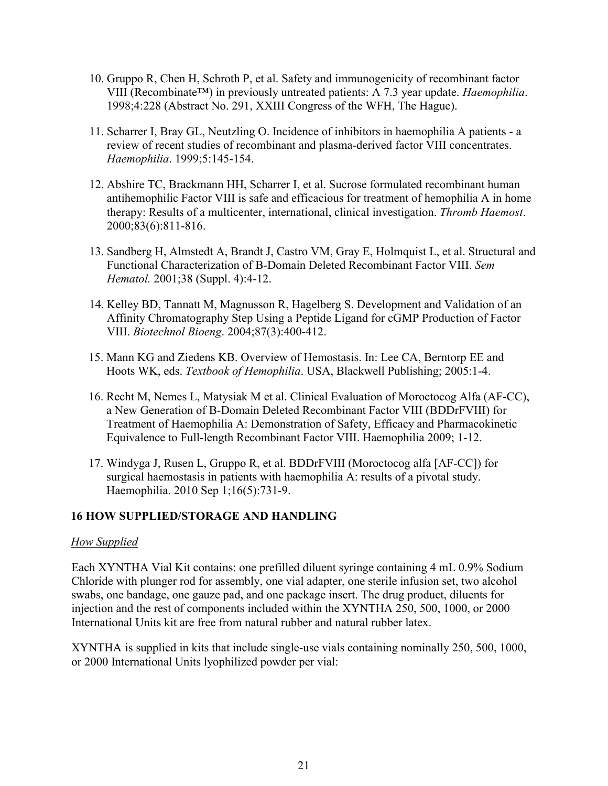- 10. Gruppo R, Chen H, Schroth P, et al. Safety and immunogenicity of recombinant factor VIII (Recombinate™) in previously untreated patients: A 7.3 year update. *Haemophilia*. 1998;4:228 (Abstract No. 291, XXIII Congress of the WFH, The Hague).
- 11. Scharrer I, Bray GL, Neutzling O. Incidence of inhibitors in haemophilia A patients a review of recent studies of recombinant and plasma-derived factor VIII concentrates. *Haemophilia*. 1999;5:145-154.
- 12. Abshire TC, Brackmann HH, Scharrer I, et al. Sucrose formulated recombinant human antihemophilic Factor VIII is safe and efficacious for treatment of hemophilia A in home therapy: Results of a multicenter, international, clinical investigation. *Thromb Haemost*. 2000;83(6):811-816.
- 13. Sandberg H, Almstedt A, Brandt J, Castro VM, Gray E, Holmquist L, et al. Structural and Functional Characterization of B-Domain Deleted Recombinant Factor VIII. *Sem Hematol.* 2001;38 (Suppl. 4):4-12.
- 14. Kelley BD, Tannatt M, Magnusson R, Hagelberg S. Development and Validation of an Affinity Chromatography Step Using a Peptide Ligand for cGMP Production of Factor VIII. *Biotechnol Bioeng*. 2004;87(3):400-412.
- 15. Mann KG and Ziedens KB. Overview of Hemostasis. In: Lee CA, Berntorp EE and Hoots WK, eds. *Textbook of Hemophilia*. USA, Blackwell Publishing; 2005:1-4.
- 16. Recht M, Nemes L, Matysiak M et al. Clinical Evaluation of Moroctocog Alfa (AF-CC), a New Generation of B-Domain Deleted Recombinant Factor VIII (BDDrFVIII) for Treatment of Haemophilia A: Demonstration of Safety, Efficacy and Pharmacokinetic Equivalence to Full-length Recombinant Factor VIII. Haemophilia 2009; 1-12.
- 17. Windyga J, Rusen L, Gruppo R, et al. BDDrFVIII (Moroctocog alfa [AF-CC]) for surgical haemostasis in patients with haemophilia A: results of a pivotal study. Haemophilia. 2010 Sep 1;16(5):731-9.

## **16 HOW SUPPLIED/STORAGE AND HANDLING**

## *How Supplied*

Each XYNTHA Vial Kit contains: one prefilled diluent syringe containing 4 mL 0.9% Sodium Chloride with plunger rod for assembly, one vial adapter, one sterile infusion set, two alcohol swabs, one bandage, one gauze pad, and one package insert. The drug product, diluents for injection and the rest of components included within the XYNTHA 250, 500, 1000, or 2000 International Units kit are free from natural rubber and natural rubber latex.

XYNTHA is supplied in kits that include single-use vials containing nominally 250, 500, 1000, or 2000 International Units lyophilized powder per vial: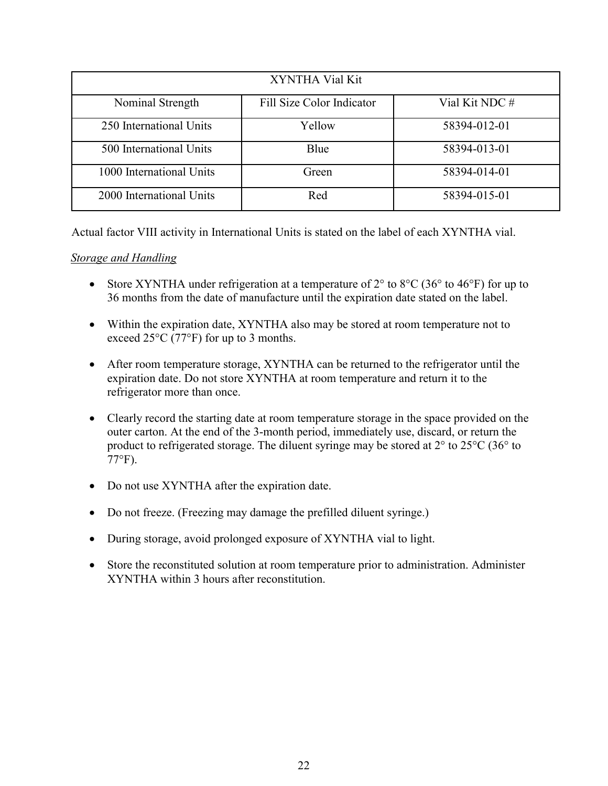| XYNTHA Vial Kit          |                           |                |  |  |  |
|--------------------------|---------------------------|----------------|--|--|--|
| Nominal Strength         | Fill Size Color Indicator | Vial Kit NDC # |  |  |  |
| 250 International Units  | Yellow                    | 58394-012-01   |  |  |  |
| 500 International Units  | Blue                      | 58394-013-01   |  |  |  |
| 1000 International Units | Green                     | 58394-014-01   |  |  |  |
| 2000 International Units | Red                       | 58394-015-01   |  |  |  |

Actual factor VIII activity in International Units is stated on the label of each XYNTHA vial.

## *Storage and Handling*

- Store XYNTHA under refrigeration at a temperature of  $2^{\circ}$  to  $8^{\circ}$ C (36° to 46°F) for up to 36 months from the date of manufacture until the expiration date stated on the label.
- Within the expiration date, XYNTHA also may be stored at room temperature not to exceed 25°C (77°F) for up to 3 months.
- After room temperature storage, XYNTHA can be returned to the refrigerator until the expiration date. Do not store XYNTHA at room temperature and return it to the refrigerator more than once.
- Clearly record the starting date at room temperature storage in the space provided on the outer carton. At the end of the 3-month period, immediately use, discard, or return the product to refrigerated storage. The diluent syringe may be stored at 2° to 25°C (36° to 77°F).
- Do not use XYNTHA after the expiration date.
- Do not freeze. (Freezing may damage the prefilled diluent syringe.)
- During storage, avoid prolonged exposure of XYNTHA vial to light.
- Store the reconstituted solution at room temperature prior to administration. Administer XYNTHA within 3 hours after reconstitution.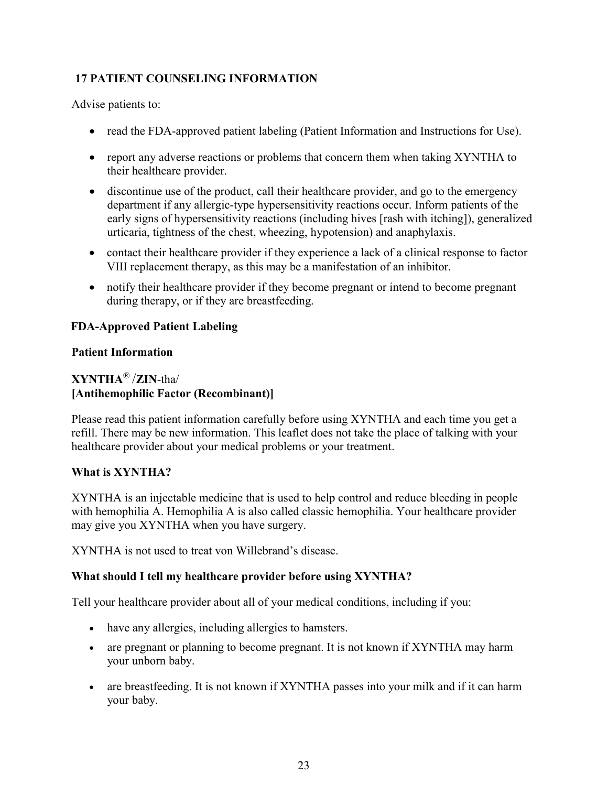# **17 PATIENT COUNSELING INFORMATION**

Advise patients to:

- read the FDA-approved patient labeling (Patient Information and Instructions for Use).
- report any adverse reactions or problems that concern them when taking XYNTHA to their healthcare provider.
- discontinue use of the product, call their healthcare provider, and go to the emergency department if any allergic-type hypersensitivity reactions occur. Inform patients of the early signs of hypersensitivity reactions (including hives [rash with itching]), generalized urticaria, tightness of the chest, wheezing, hypotension) and anaphylaxis.
- contact their healthcare provider if they experience a lack of a clinical response to factor VIII replacement therapy, as this may be a manifestation of an inhibitor.
- notify their healthcare provider if they become pregnant or intend to become pregnant during therapy, or if they are breastfeeding.

## **FDA-Approved Patient Labeling**

## **Patient Information**

# **XYNTHA**® /**ZIN**-tha/ **[Antihemophilic Factor (Recombinant)]**

Please read this patient information carefully before using XYNTHA and each time you get a refill. There may be new information. This leaflet does not take the place of talking with your healthcare provider about your medical problems or your treatment.

## **What is XYNTHA?**

XYNTHA is an injectable medicine that is used to help control and reduce bleeding in people with hemophilia A. Hemophilia A is also called classic hemophilia. Your healthcare provider may give you XYNTHA when you have surgery.

XYNTHA is not used to treat von Willebrand's disease.

## **What should I tell my healthcare provider before using XYNTHA?**

Tell your healthcare provider about all of your medical conditions, including if you:

- have any allergies, including allergies to hamsters.
- are pregnant or planning to become pregnant. It is not known if XYNTHA may harm your unborn baby.
- are breastfeeding. It is not known if XYNTHA passes into your milk and if it can harm your baby.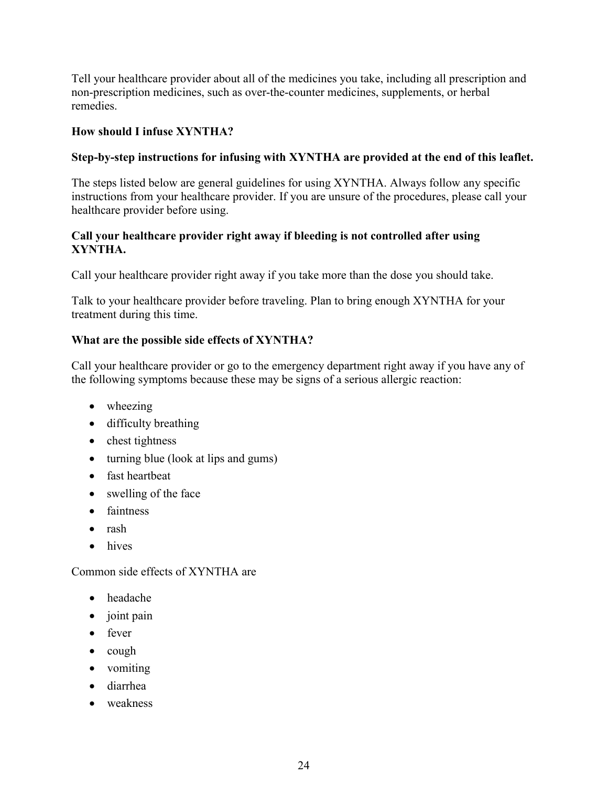Tell your healthcare provider about all of the medicines you take, including all prescription and non-prescription medicines, such as over-the-counter medicines, supplements, or herbal remedies.

## **How should I infuse XYNTHA?**

## **Step-by-step instructions for infusing with XYNTHA are provided at the end of this leaflet.**

The steps listed below are general guidelines for using XYNTHA. Always follow any specific instructions from your healthcare provider. If you are unsure of the procedures, please call your healthcare provider before using.

## **Call your healthcare provider right away if bleeding is not controlled after using XYNTHA.**

Call your healthcare provider right away if you take more than the dose you should take.

Talk to your healthcare provider before traveling. Plan to bring enough XYNTHA for your treatment during this time.

## **What are the possible side effects of XYNTHA?**

Call your healthcare provider or go to the emergency department right away if you have any of the following symptoms because these may be signs of a serious allergic reaction:

- wheezing
- difficulty breathing
- chest tightness
- turning blue (look at lips and gums)
- fast heartbeat
- swelling of the face
- faintness
- rash
- hives

Common side effects of XYNTHA are

- headache
- joint pain
- fever
- $\bullet$  cough
- vomiting
- diarrhea
- weakness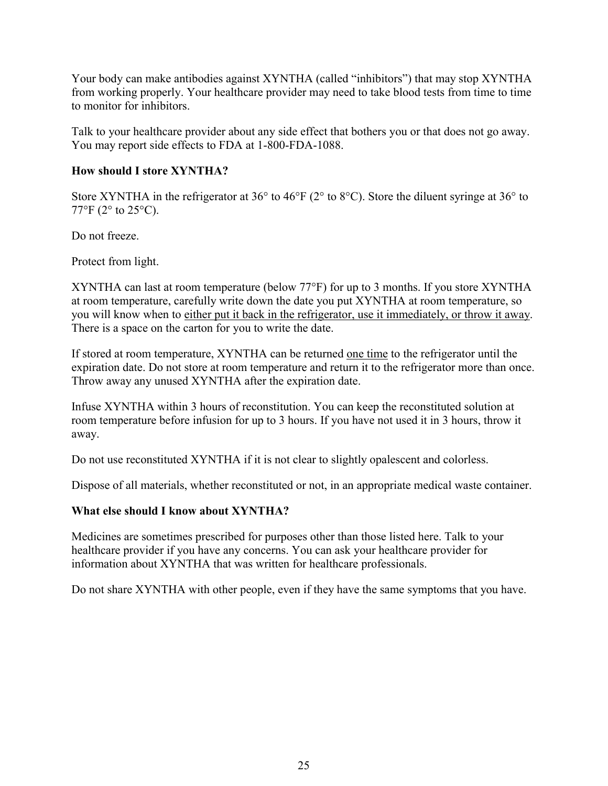Your body can make antibodies against XYNTHA (called "inhibitors") that may stop XYNTHA from working properly. Your healthcare provider may need to take blood tests from time to time to monitor for inhibitors.

Talk to your healthcare provider about any side effect that bothers you or that does not go away. You may report side effects to FDA at 1-800-FDA-1088.

#### **How should I store XYNTHA?**

Store XYNTHA in the refrigerator at 36° to 46°F (2° to 8°C). Store the diluent syringe at 36° to 77°F (2° to 25°C).

Do not freeze.

Protect from light.

XYNTHA can last at room temperature (below 77°F) for up to 3 months. If you store XYNTHA at room temperature, carefully write down the date you put XYNTHA at room temperature, so you will know when to either put it back in the refrigerator, use it immediately, or throw it away. There is a space on the carton for you to write the date.

If stored at room temperature, XYNTHA can be returned one time to the refrigerator until the expiration date. Do not store at room temperature and return it to the refrigerator more than once. Throw away any unused XYNTHA after the expiration date.

Infuse XYNTHA within 3 hours of reconstitution. You can keep the reconstituted solution at room temperature before infusion for up to 3 hours. If you have not used it in 3 hours, throw it away.

Do not use reconstituted XYNTHA if it is not clear to slightly opalescent and colorless.

Dispose of all materials, whether reconstituted or not, in an appropriate medical waste container.

#### **What else should I know about XYNTHA?**

Medicines are sometimes prescribed for purposes other than those listed here. Talk to your healthcare provider if you have any concerns. You can ask your healthcare provider for information about XYNTHA that was written for healthcare professionals.

Do not share XYNTHA with other people, even if they have the same symptoms that you have.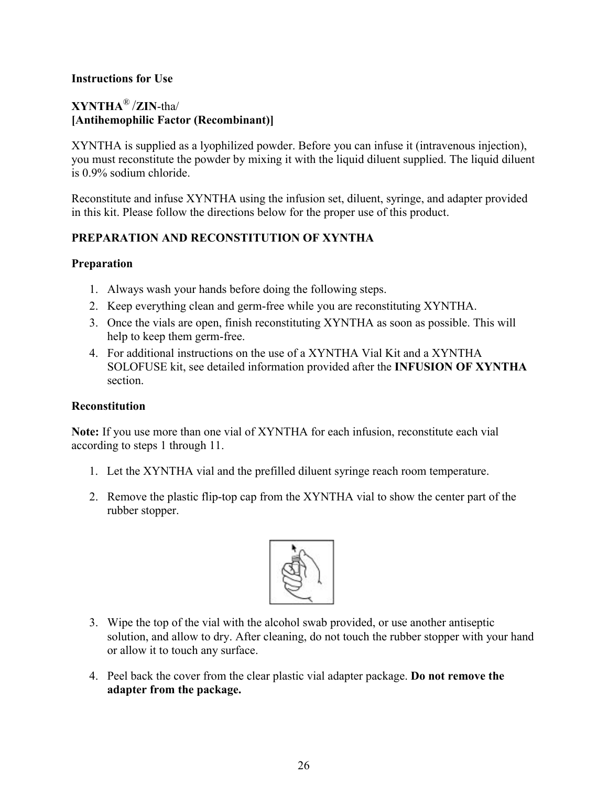#### **Instructions for Use**

## **XYNTHA**® /**ZIN**-tha/ **[Antihemophilic Factor (Recombinant)]**

XYNTHA is supplied as a lyophilized powder. Before you can infuse it (intravenous injection), you must reconstitute the powder by mixing it with the liquid diluent supplied. The liquid diluent is 0.9% sodium chloride.

Reconstitute and infuse XYNTHA using the infusion set, diluent, syringe, and adapter provided in this kit. Please follow the directions below for the proper use of this product.

## **PREPARATION AND RECONSTITUTION OF XYNTHA**

#### **Preparation**

- 1. Always wash your hands before doing the following steps.
- 2. Keep everything clean and germ-free while you are reconstituting XYNTHA.
- 3. Once the vials are open, finish reconstituting XYNTHA as soon as possible. This will help to keep them germ-free.
- 4. For additional instructions on the use of a XYNTHA Vial Kit and a XYNTHA SOLOFUSE kit, see detailed information provided after the **INFUSION OF XYNTHA**  section.

## **Reconstitution**

**Note:** If you use more than one vial of XYNTHA for each infusion, reconstitute each vial according to steps 1 through 11.

- 1. Let the XYNTHA vial and the prefilled diluent syringe reach room temperature.
- 2. Remove the plastic flip-top cap from the XYNTHA vial to show the center part of the rubber stopper.



- 3. Wipe the top of the vial with the alcohol swab provided, or use another antiseptic solution, and allow to dry. After cleaning, do not touch the rubber stopper with your hand or allow it to touch any surface.
- 4. Peel back the cover from the clear plastic vial adapter package. **Do not remove the adapter from the package.**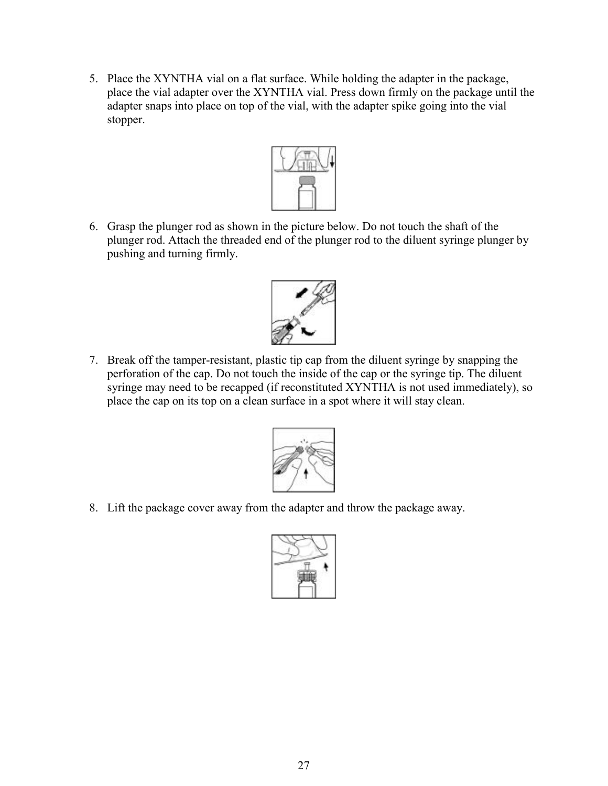5. Place the XYNTHA vial on a flat surface. While holding the adapter in the package, place the vial adapter over the XYNTHA vial. Press down firmly on the package until the adapter snaps into place on top of the vial, with the adapter spike going into the vial stopper.



6. Grasp the plunger rod as shown in the picture below. Do not touch the shaft of the plunger rod. Attach the threaded end of the plunger rod to the diluent syringe plunger by pushing and turning firmly.



7. Break off the tamper-resistant, plastic tip cap from the diluent syringe by snapping the perforation of the cap. Do not touch the inside of the cap or the syringe tip. The diluent syringe may need to be recapped (if reconstituted XYNTHA is not used immediately), so place the cap on its top on a clean surface in a spot where it will stay clean.



8. Lift the package cover away from the adapter and throw the package away.

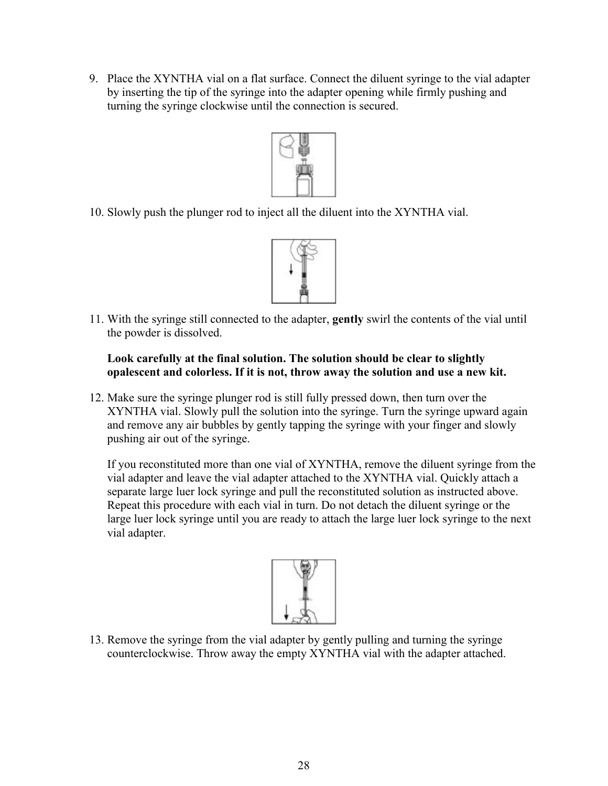9. Place the XYNTHA vial on a flat surface. Connect the diluent syringe to the vial adapter by inserting the tip of the syringe into the adapter opening while firmly pushing and turning the syringe clockwise until the connection is secured.



10. Slowly push the plunger rod to inject all the diluent into the XYNTHA vial.



11. With the syringe still connected to the adapter, **gently** swirl the contents of the vial until the powder is dissolved.

#### **Look carefully at the final solution. The solution should be clear to slightly opalescent and colorless. If it is not, throw away the solution and use a new kit.**

12. Make sure the syringe plunger rod is still fully pressed down, then turn over the XYNTHA vial. Slowly pull the solution into the syringe. Turn the syringe upward again and remove any air bubbles by gently tapping the syringe with your finger and slowly pushing air out of the syringe.

If you reconstituted more than one vial of XYNTHA, remove the diluent syringe from the vial adapter and leave the vial adapter attached to the XYNTHA vial. Quickly attach a separate large luer lock syringe and pull the reconstituted solution as instructed above. Repeat this procedure with each vial in turn. Do not detach the diluent syringe or the large luer lock syringe until you are ready to attach the large luer lock syringe to the next vial adapter.



13. Remove the syringe from the vial adapter by gently pulling and turning the syringe counterclockwise. Throw away the empty XYNTHA vial with the adapter attached.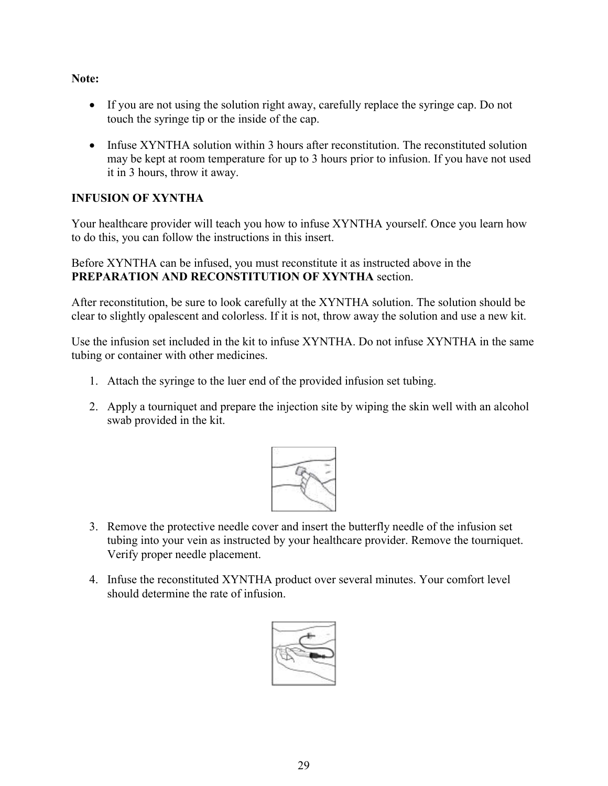**Note:**

- If you are not using the solution right away, carefully replace the syringe cap. Do not touch the syringe tip or the inside of the cap.
- Infuse XYNTHA solution within 3 hours after reconstitution. The reconstituted solution may be kept at room temperature for up to 3 hours prior to infusion. If you have not used it in 3 hours, throw it away.

## **INFUSION OF XYNTHA**

Your healthcare provider will teach you how to infuse XYNTHA yourself. Once you learn how to do this, you can follow the instructions in this insert.

Before XYNTHA can be infused, you must reconstitute it as instructed above in the **PREPARATION AND RECONSTITUTION OF XYNTHA** section.

After reconstitution, be sure to look carefully at the XYNTHA solution. The solution should be clear to slightly opalescent and colorless. If it is not, throw away the solution and use a new kit.

Use the infusion set included in the kit to infuse XYNTHA. Do not infuse XYNTHA in the same tubing or container with other medicines.

- 1. Attach the syringe to the luer end of the provided infusion set tubing.
- 2. Apply a tourniquet and prepare the injection site by wiping the skin well with an alcohol swab provided in the kit.



- 3. Remove the protective needle cover and insert the butterfly needle of the infusion set tubing into your vein as instructed by your healthcare provider. Remove the tourniquet. Verify proper needle placement.
- 4. Infuse the reconstituted XYNTHA product over several minutes. Your comfort level should determine the rate of infusion.

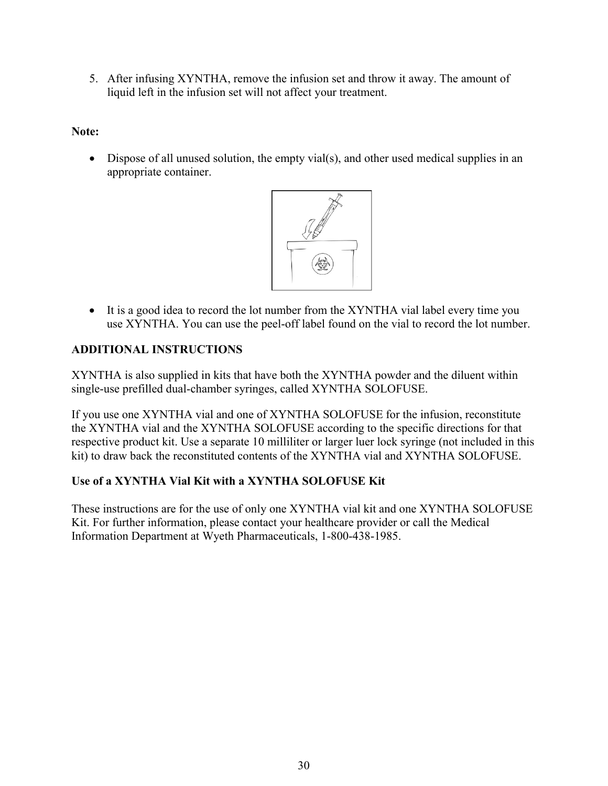5. After infusing XYNTHA, remove the infusion set and throw it away. The amount of liquid left in the infusion set will not affect your treatment.

#### **Note:**

• Dispose of all unused solution, the empty vial(s), and other used medical supplies in an appropriate container.



• It is a good idea to record the lot number from the XYNTHA vial label every time you use XYNTHA. You can use the peel-off label found on the vial to record the lot number.

## **ADDITIONAL INSTRUCTIONS**

XYNTHA is also supplied in kits that have both the XYNTHA powder and the diluent within single-use prefilled dual-chamber syringes, called XYNTHA SOLOFUSE.

If you use one XYNTHA vial and one of XYNTHA SOLOFUSE for the infusion, reconstitute the XYNTHA vial and the XYNTHA SOLOFUSE according to the specific directions for that respective product kit. Use a separate 10 milliliter or larger luer lock syringe (not included in this kit) to draw back the reconstituted contents of the XYNTHA vial and XYNTHA SOLOFUSE.

## **Use of a XYNTHA Vial Kit with a XYNTHA SOLOFUSE Kit**

These instructions are for the use of only one XYNTHA vial kit and one XYNTHA SOLOFUSE Kit. For further information, please contact your healthcare provider or call the Medical Information Department at Wyeth Pharmaceuticals, 1-800-438-1985.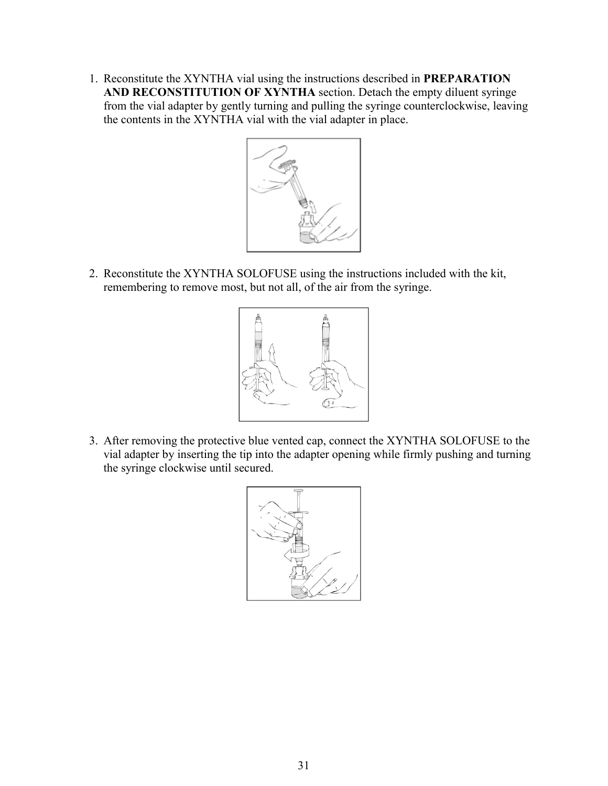1. Reconstitute the XYNTHA vial using the instructions described in **PREPARATION AND RECONSTITUTION OF XYNTHA** section. Detach the empty diluent syringe from the vial adapter by gently turning and pulling the syringe counterclockwise, leaving the contents in the XYNTHA vial with the vial adapter in place.



2. Reconstitute the XYNTHA SOLOFUSE using the instructions included with the kit, remembering to remove most, but not all, of the air from the syringe.



3. After removing the protective blue vented cap, connect the XYNTHA SOLOFUSE to the vial adapter by inserting the tip into the adapter opening while firmly pushing and turning the syringe clockwise until secured.

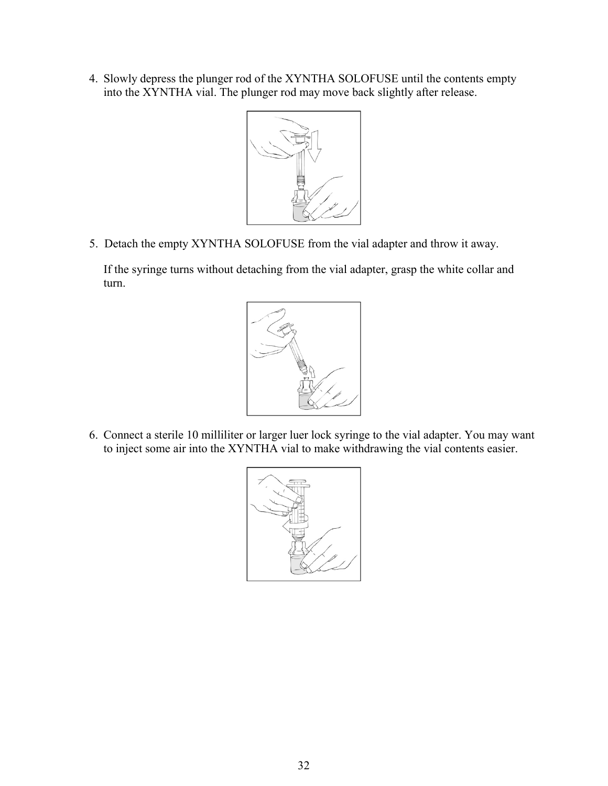4. Slowly depress the plunger rod of the XYNTHA SOLOFUSE until the contents empty into the XYNTHA vial. The plunger rod may move back slightly after release.



5. Detach the empty XYNTHA SOLOFUSE from the vial adapter and throw it away.

If the syringe turns without detaching from the vial adapter, grasp the white collar and turn.



6. Connect a sterile 10 milliliter or larger luer lock syringe to the vial adapter. You may want to inject some air into the XYNTHA vial to make withdrawing the vial contents easier.